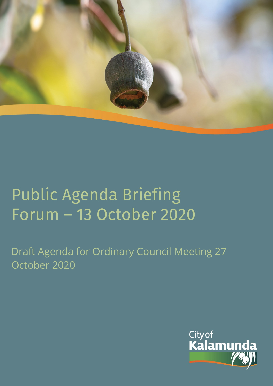

# Public Agenda Briefing Forum – 13 October 2020

Draft Agenda for Ordinary Council Meeting 27 October 2020

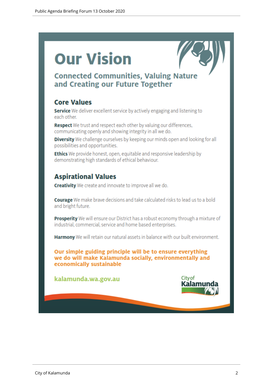# **Our Vision**



# **Connected Communities, Valuing Nature** and Creating our Future Together

## **Core Values**

Service We deliver excellent service by actively engaging and listening to each other.

Respect We trust and respect each other by valuing our differences, communicating openly and showing integrity in all we do.

Diversity We challenge ourselves by keeping our minds open and looking for all possibilities and opportunities.

**Ethics** We provide honest, open, equitable and responsive leadership by demonstrating high standards of ethical behaviour.

# **Aspirational Values**

**Creativity** We create and innovate to improve all we do.

**Courage** We make brave decisions and take calculated risks to lead us to a bold and bright future.

**Prosperity** We will ensure our District has a robust economy through a mixture of industrial, commercial, service and home based enterprises.

Harmony We will retain our natural assets in balance with our built environment.

Our simple guiding principle will be to ensure everything we do will make Kalamunda socially, environmentally and economically sustainable

kalamunda.wa.gov.au

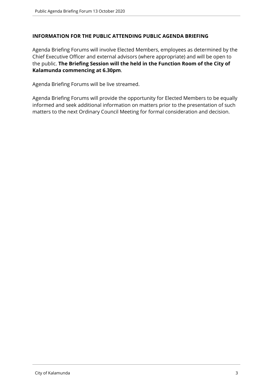#### **INFORMATION FOR THE PUBLIC ATTENDING PUBLIC AGENDA BRIEFING**

Agenda Briefing Forums will involve Elected Members, employees as determined by the Chief Executive Officer and external advisors (where appropriate) and will be open to the public. **The Briefing Session will the held in the Function Room of the City of Kalamunda commencing at 6.30pm**.

Agenda Briefing Forums will be live streamed.

Agenda Briefing Forums will provide the opportunity for Elected Members to be equally informed and seek additional information on matters prior to the presentation of such matters to the next Ordinary Council Meeting for formal consideration and decision.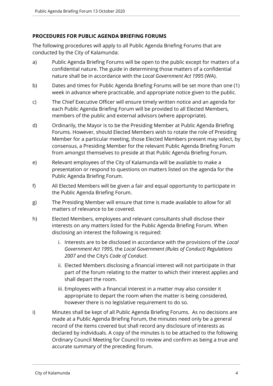#### **PROCEDURES FOR PUBLIC AGENDA BRIEFING FORUMS**

The following procedures will apply to all Public Agenda Briefing Forums that are conducted by the City of Kalamunda:

- a) Public Agenda Briefing Forums will be open to the public except for matters of a confidential nature. The guide in determining those matters of a confidential nature shall be in accordance with the *Local Government Act 1995* (WA).
- b) Dates and times for Public Agenda Briefing Forums will be set more than one (1) week in advance where practicable, and appropriate notice given to the public.
- c) The Chief Executive Officer will ensure timely written notice and an agenda for each Public Agenda Briefing Forum will be provided to all Elected Members, members of the public and external advisors (where appropriate).
- d) Ordinarily, the Mayor is to be the Presiding Member at Public Agenda Briefing Forums. However, should Elected Members wish to rotate the role of Presiding Member for a particular meeting, those Elected Members present may select, by consensus, a Presiding Member for the relevant Public Agenda Briefing Forum from amongst themselves to preside at that Public Agenda Briefing Forum.
- e) Relevant employees of the City of Kalamunda will be available to make a presentation or respond to questions on matters listed on the agenda for the Public Agenda Briefing Forum.
- f) All Elected Members will be given a fair and equal opportunity to participate in the Public Agenda Briefing Forum.
- g) The Presiding Member will ensure that time is made available to allow for all matters of relevance to be covered.
- h) Elected Members, employees and relevant consultants shall disclose their interests on any matters listed for the Public Agenda Briefing Forum. When disclosing an interest the following is required:
	- i. Interests are to be disclosed in accordance with the provisions of the *Local Government Act 1995,* the *Local Government (Rules of Conduct) Regulations 2007* and the City's *Code of Conduct*.
	- ii. Elected Members disclosing a financial interest will not participate in that part of the forum relating to the matter to which their interest applies and shall depart the room.
	- iii. Employees with a financial interest in a matter may also consider it appropriate to depart the room when the matter is being considered, however there is no legislative requirement to do so.
- i) Minutes shall be kept of all Public Agenda Briefing Forums. As no decisions are made at a Public Agenda Briefing Forum, the minutes need only be a general record of the items covered but shall record any disclosure of interests as declared by individuals. A copy of the minutes is to be attached to the following Ordinary Council Meeting for Council to review and confirm as being a true and accurate summary of the preceding forum.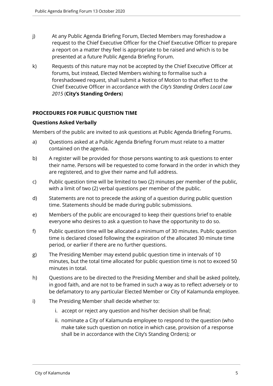- j) At any Public Agenda Briefing Forum, Elected Members may foreshadow a request to the Chief Executive Officer for the Chief Executive Officer to prepare a report on a matter they feel is appropriate to be raised and which is to be presented at a future Public Agenda Briefing Forum.
- k) Requests of this nature may not be accepted by the Chief Executive Officer at forums, but instead, Elected Members wishing to formalise such a foreshadowed request, shall submit a Notice of Motion to that effect to the Chief Executive Officer in accordance with the *City's Standing Orders Local Law 2015* (**City's Standing Orders**)

## **PROCEDURES FOR PUBLIC QUESTION TIME**

## **Questions Asked Verbally**

Members of the public are invited to ask questions at Public Agenda Briefing Forums.

- a) Questions asked at a Public Agenda Briefing Forum must relate to a matter contained on the agenda.
- b) A register will be provided for those persons wanting to ask questions to enter their name. Persons will be requested to come forward in the order in which they are registered, and to give their name and full address.
- c) Public question time will be limited to two (2) minutes per member of the public, with a limit of two (2) verbal questions per member of the public.
- d) Statements are not to precede the asking of a question during public question time. Statements should be made during public submissions.
- e) Members of the public are encouraged to keep their questions brief to enable everyone who desires to ask a question to have the opportunity to do so.
- f) Public question time will be allocated a minimum of 30 minutes. Public question time is declared closed following the expiration of the allocated 30 minute time period, or earlier if there are no further questions.
- g) The Presiding Member may extend public question time in intervals of 10 minutes, but the total time allocated for public question time is not to exceed 50 minutes in total.
- h) Questions are to be directed to the Presiding Member and shall be asked politely, in good faith, and are not to be framed in such a way as to reflect adversely or to be defamatory to any particular Elected Member or City of Kalamunda employee.
- i) The Presiding Member shall decide whether to:
	- i. accept or reject any question and his/her decision shall be final;
	- ii. nominate a City of Kalamunda employee to respond to the question (who make take such question on notice in which case, provision of a response shall be in accordance with the City's Standing Orders); or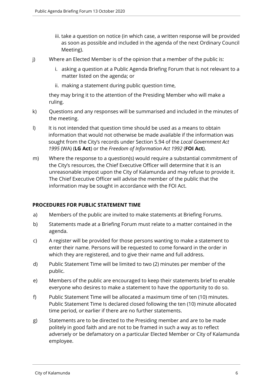- iii. take a question on notice (in which case, a written response will be provided as soon as possible and included in the agenda of the next Ordinary Council Meeting).
- j) Where an Elected Member is of the opinion that a member of the public is:
	- i. asking a question at a Public Agenda Briefing Forum that is not relevant to a matter listed on the agenda; or
	- ii. making a statement during public question time,

they may bring it to the attention of the Presiding Member who will make a ruling.

- k) Questions and any responses will be summarised and included in the minutes of the meeting.
- I) It is not intended that question time should be used as a means to obtain information that would not otherwise be made available if the information was sought from the City's records under Section 5.94 of the *Local Government Act 1995* (WA) (**LG Act**) or the *Freedom of Information Act 1992* (**FOI Act**).
- m) Where the response to a question(s) would require a substantial commitment of the City's resources, the Chief Executive Officer will determine that it is an unreasonable impost upon the City of Kalamunda and may refuse to provide it. The Chief Executive Officer will advise the member of the public that the information may be sought in accordance with the FOI Act.

## **PROCEDURES FOR PUBLIC STATEMENT TIME**

- a) Members of the public are invited to make statements at Briefing Forums.
- b) Statements made at a Briefing Forum must relate to a matter contained in the agenda.
- c) A register will be provided for those persons wanting to make a statement to enter their name. Persons will be requested to come forward in the order in which they are registered, and to give their name and full address.
- d) Public Statement Time will be limited to two (2) minutes per member of the public.
- e) Members of the public are encouraged to keep their statements brief to enable everyone who desires to make a statement to have the opportunity to do so.
- f) Public Statement Time will be allocated a maximum time of ten (10) minutes. Public Statement Time Is declared closed following the ten (10) minute allocated time period, or earlier if there are no further statements.
- g) Statements are to be directed to the Presiding member and are to be made politely in good faith and are not to be framed in such a way as to reflect adversely or be defamatory on a particular Elected Member or City of Kalamunda employee.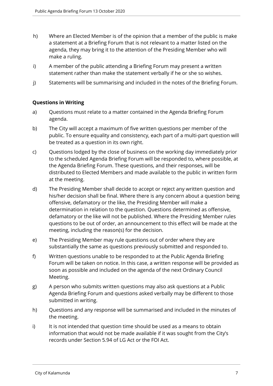- h) Where an Elected Member is of the opinion that a member of the public is make a statement at a Briefing Forum that is not relevant to a matter listed on the agenda, they may bring it to the attention of the Presiding Member who will make a ruling.
- i) A member of the public attending a Briefing Forum may present a written statement rather than make the statement verbally if he or she so wishes.
- j) Statements will be summarising and included in the notes of the Briefing Forum.

## **Questions in Writing**

- a) Questions must relate to a matter contained in the Agenda Briefing Forum agenda.
- b) The City will accept a maximum of five written questions per member of the public. To ensure equality and consistency, each part of a multi-part question will be treated as a question in its own right.
- c) Questions lodged by the close of business on the working day immediately prior to the scheduled Agenda Briefing Forum will be responded to, where possible, at the Agenda Briefing Forum. These questions, and their responses, will be distributed to Elected Members and made available to the public in written form at the meeting.
- d) The Presiding Member shall decide to accept or reject any written question and his/her decision shall be final. Where there is any concern about a question being offensive, defamatory or the like, the Presiding Member will make a determination in relation to the question. Questions determined as offensive, defamatory or the like will not be published. Where the Presiding Member rules questions to be out of order, an announcement to this effect will be made at the meeting, including the reason(s) for the decision.
- e) The Presiding Member may rule questions out of order where they are substantially the same as questions previously submitted and responded to.
- f) Written questions unable to be responded to at the Public Agenda Briefing Forum will be taken on notice. In this case, a written response will be provided as soon as possible and included on the agenda of the next Ordinary Council Meeting.
- g) A person who submits written questions may also ask questions at a Public Agenda Briefing Forum and questions asked verbally may be different to those submitted in writing.
- h) Questions and any response will be summarised and included in the minutes of the meeting.
- i) It is not intended that question time should be used as a means to obtain information that would not be made available if it was sought from the City's records under Section 5.94 of LG Act or the FOI Act.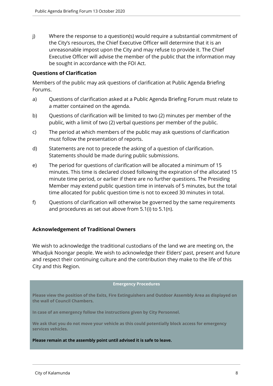j) Where the response to a question(s) would require a substantial commitment of the City's resources, the Chief Executive Officer will determine that it is an unreasonable impost upon the City and may refuse to provide it. The Chief Executive Officer will advise the member of the public that the information may be sought in accordance with the FOI Act.

#### **Questions of Clarification**

Members of the public may ask questions of clarification at Public Agenda Briefing Forums.

- a) Questions of clarification asked at a Public Agenda Briefing Forum must relate to a matter contained on the agenda.
- b) Questions of clarification will be limited to two (2) minutes per member of the public, with a limit of two (2) verbal questions per member of the public.
- c) The period at which members of the public may ask questions of clarification must follow the presentation of reports.
- d) Statements are not to precede the asking of a question of clarification. Statements should be made during public submissions.
- e) The period for questions of clarification will be allocated a minimum of 15 minutes. This time is declared closed following the expiration of the allocated 15 minute time period, or earlier if there are no further questions. The Presiding Member may extend public question time in intervals of 5 minutes, but the total time allocated for public question time is not to exceed 30 minutes in total.
- f) Questions of clarification will otherwise be governed by the same requirements and procedures as set out above from 5.1(i) to 5.1(n).

#### **Acknowledgement of Traditional Owners**

We wish to acknowledge the traditional custodians of the land we are meeting on, the Whadjuk Noongar people. We wish to acknowledge their Elders' past, present and future and respect their continuing culture and the contribution they make to the life of this City and this Region.

#### **Emergency Procedures**

**Please view the position of the Exits, Fire Extinguishers and Outdoor Assembly Area as displayed on the wall of Council Chambers.**

**In case of an emergency follow the instructions given by City Personnel.** 

**We ask that you do not move your vehicle as this could potentially block access for emergency services vehicles.** 

#### **Please remain at the assembly point until advised it is safe to leave.**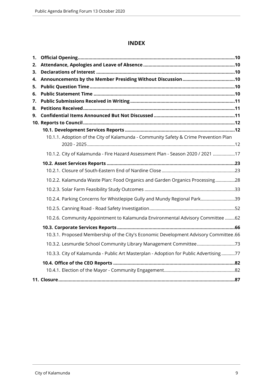## **INDEX**

| 1. |                                                                                       |  |
|----|---------------------------------------------------------------------------------------|--|
| 2. |                                                                                       |  |
| 3. |                                                                                       |  |
| 4. |                                                                                       |  |
| 5. |                                                                                       |  |
| 6. |                                                                                       |  |
| 7. |                                                                                       |  |
| 8. |                                                                                       |  |
| 9. |                                                                                       |  |
|    |                                                                                       |  |
|    |                                                                                       |  |
|    | 10.1.1. Adoption of the City of Kalamunda - Community Safety & Crime Prevention Plan  |  |
|    | 10.1.2. City of Kalamunda - Fire Hazard Assessment Plan - Season 2020 / 2021 17       |  |
|    |                                                                                       |  |
|    |                                                                                       |  |
|    | 10.2.2. Kalamunda Waste Plan: Food Organics and Garden Organics Processing28          |  |
|    |                                                                                       |  |
|    | 10.2.4. Parking Concerns for Whistlepipe Gully and Mundy Regional Park39              |  |
|    |                                                                                       |  |
|    | 10.2.6. Community Appointment to Kalamunda Environmental Advisory Committee 62        |  |
|    |                                                                                       |  |
|    | 10.3.1. Proposed Membership of the City's Economic Development Advisory Committee.66  |  |
|    |                                                                                       |  |
|    | 10.3.3. City of Kalamunda - Public Art Masterplan - Adoption for Public Advertising77 |  |
|    |                                                                                       |  |
|    |                                                                                       |  |
|    |                                                                                       |  |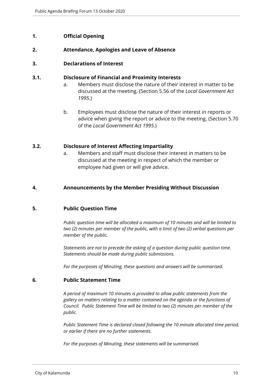## <span id="page-9-0"></span>**1. Official Opening**

#### <span id="page-9-1"></span>**2. Attendance, Apologies and Leave of Absence**

#### <span id="page-9-2"></span>**3. Declarations of Interest**

#### **3.1. Disclosure of Financial and Proximity Interests**

- a. Members must disclose the nature of their interest in matter to be discussed at the meeting. (Section 5.56 of the *Local Government Act 1995*.)
- b. Employees must disclose the nature of their interest in reports or advice when giving the report or advice to the meeting. (Section 5.70 of the *Local Government Act 1995*.)

#### **3.2. Disclosure of Interest Affecting Impartiality**

a. Members and staff must disclose their interest in matters to be discussed at the meeting in respect of which the member or employee had given or will give advice.

#### <span id="page-9-3"></span>**4. Announcements by the Member Presiding Without Discussion**

#### <span id="page-9-4"></span>**5. Public Question Time**

*Public question time will be allocated a maximum of 10 minutes and will be limited to two (2) minutes per member of the public, with a limit of two (2) verbal questions per member of the public.*

*Statements are not to precede the asking of a question during public question time. Statements should be made during public submissions.*

*For the purposes of Minuting, these questions and answers will be summarised.*

#### <span id="page-9-5"></span>**6. Public Statement Time**

*A period of maximum 10 minutes is provided to allow public statements from the gallery on matters relating to a matter contained on the agenda or the functions of Council. Public Statement Time will be limited to two (2) minutes per member of the public.*

*Public Statement Time is declared closed following the 10 minute allocated time period, or earlier if there are no further statements.* 

*For the purposes of Minuting, these statements will be summarised.*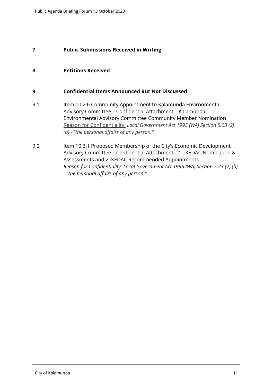## <span id="page-10-0"></span>**7. Public Submissions Received in Writing**

## <span id="page-10-1"></span>**8. Petitions Received**

#### <span id="page-10-2"></span>**9. Confidential Items Announced But Not Discussed**

- 9.1 Item 10.2.6 Community Appointment to Kalamunda Environmental Advisory Committee – Confidential Attachment – Kalamunda Environmental Advisory Committee Community Member Nomination Reason for Confidentiality: *Local Government Act 1995 (WA) Section 5.23 (2) (b) - "the personal affairs of any person."*
- 9.2 Item 10.3.1 Proposed Membership of the City's Economic Development Advisory Committee – Confidential Attachment – 1. KEDAC Nomination & Assessments and 2. KEDAC Recommended Appointments *Reason for Confidentiality: Local Government Act 1995 (WA) Section 5.23 (2) (b) - "the personal affairs of any person."*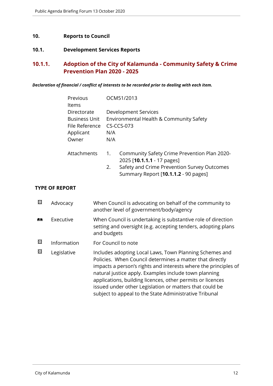## <span id="page-11-0"></span>**10. Reports to Council**

## <span id="page-11-1"></span>**10.1. Development Services Reports**

## <span id="page-11-2"></span>**10.1.1. Adoption of the City of Kalamunda - Community Safety & Crime Prevention Plan 2020 - 2025**

#### *Declaration of financial / conflict of interests to be recorded prior to dealing with each item.*

| Previous<br><b>Items</b> |     | OCM51/2013                                                                          |
|--------------------------|-----|-------------------------------------------------------------------------------------|
|                          |     |                                                                                     |
| Directorate              |     | Development Services                                                                |
| <b>Business Unit</b>     |     | Environmental Health & Community Safety                                             |
| File Reference           |     | CS-CCS-073                                                                          |
| Applicant                | N/A |                                                                                     |
| Owner                    | N/A |                                                                                     |
| Attachments              | 1.  | Community Safety Crime Prevention Plan 2020-<br>2025 [ <b>10.1.1.1</b> - 17 pages]  |
|                          | 2.  | Safety and Crime Prevention Survey Outcomes<br>Summary Report [10.1.1.2 - 90 pages] |

#### **TYPE OF REPORT**

| 囨        | Advocacy    | When Council is advocating on behalf of the community to<br>another level of government/body/agency                                                                                                                                                                                                                                                                                                                                |
|----------|-------------|------------------------------------------------------------------------------------------------------------------------------------------------------------------------------------------------------------------------------------------------------------------------------------------------------------------------------------------------------------------------------------------------------------------------------------|
| <b>A</b> | Executive   | When Council is undertaking is substantive role of direction<br>setting and oversight (e.g. accepting tenders, adopting plans<br>and budgets                                                                                                                                                                                                                                                                                       |
| 図        | Information | For Council to note                                                                                                                                                                                                                                                                                                                                                                                                                |
| ⊠        | Legislative | Includes adopting Local Laws, Town Planning Schemes and<br>Policies. When Council determines a matter that directly<br>impacts a person's rights and interests where the principles of<br>natural justice apply. Examples include town planning<br>applications, building licences, other permits or licences<br>issued under other Legislation or matters that could be<br>subject to appeal to the State Administrative Tribunal |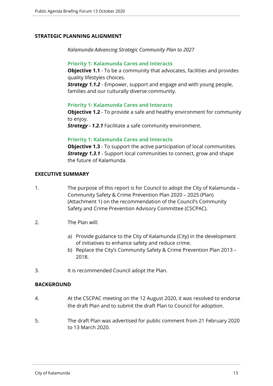#### **STRATEGIC PLANNING ALIGNMENT**

*Kalamunda Advancing Strategic Community Plan to 2027*

#### **Priority 1: Kalamunda Cares and Interacts**

**Objective 1.1** - To be a community that advocates, facilities and provides quality lifestyles choices.

*Strategy 1.1.2* - Empower, support and engage and with young people, families and our culturally diverse community.

#### **Priority 1: Kalamunda Cares and Interacts**

**Objective 1.2** - To provide a safe and healthy environment for community to enjoy.

*Strategy - 1.2.1* Facilitate a safe community environment.

#### **Priority 1: Kalamunda Cares and Interacts**

**Objective 1.3** - To support the active participation of local communities. *Strategy 1.3.1* - Support local communities to connect, grow and shape the future of Kalamunda.

#### **EXECUTIVE SUMMARY**

- 1. The purpose of this report is for Council to adopt the City of Kalamunda Community Safety & Crime Prevention Plan 2020 – 2025 (Plan) (Attachment 1) on the recommendation of the Council's Community Safety and Crime Prevention Advisory Committee (CSCPAC).
- 2. The Plan will:
	- a) Provide guidance to the City of Kalamunda (City) in the development of initiatives to enhance safety and reduce crime.
	- b) Replace the City's Community Safety & Crime Prevention Plan 2013 2018.
- 3. It is recommended Council adopt the Plan.

#### **BACKGROUND**

- 4. At the CSCPAC meeting on the 12 August 2020, it was resolved to endorse the draft Plan and to submit the draft Plan to Council for adoption.
- 5. The draft Plan was advertised for public comment from 21 February 2020 to 13 March 2020.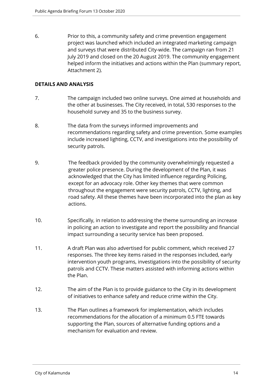6. Prior to this, a community safety and crime prevention engagement project was launched which included an integrated marketing campaign and surveys that were distributed City-wide. The campaign ran from 21 July 2019 and closed on the 20 August 2019. The community engagement helped inform the initiatives and actions within the Plan (summary report, Attachment 2).

#### **DETAILS AND ANALYSIS**

- 7. The campaign included two online surveys. One aimed at households and the other at businesses. The City received, in total, 530 responses to the household survey and 35 to the business survey.
- 8. The data from the surveys informed improvements and recommendations regarding safety and crime prevention. Some examples include increased lighting, CCTV, and investigations into the possibility of security patrols.
- 9. The feedback provided by the community overwhelmingly requested a greater police presence. During the development of the Plan, it was acknowledged that the City has limited influence regarding Policing, except for an advocacy role. Other key themes that were common throughout the engagement were security patrols, CCTV, lighting, and road safety. All these themes have been incorporated into the plan as key actions.
- 10. Specifically, in relation to addressing the theme surrounding an increase in policing an action to investigate and report the possibility and financial impact surrounding a security service has been proposed.
- 11. A draft Plan was also advertised for public comment, which received 27 responses. The three key items raised in the responses included, early intervention youth programs, investigations into the possibility of security patrols and CCTV. These matters assisted with informing actions within the Plan.
- 12. The aim of the Plan is to provide guidance to the City in its development of initiatives to enhance safety and reduce crime within the City.
- 13. The Plan outlines a framework for implementation, which includes recommendations for the allocation of a minimum 0.5 FTE towards supporting the Plan, sources of alternative funding options and a mechanism for evaluation and review.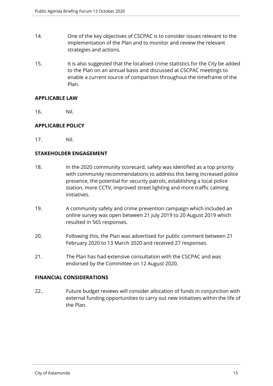- 14. One of the key objectives of CSCPAC is to consider issues relevant to the implementation of the Plan and to monitor and review the relevant strategies and actions.
- 15. It is also suggested that the localised crime statistics for the City be added to the Plan on an annual basis and discussed at CSCPAC meetings to enable a current source of comparison throughout the timeframe of the Plan.

#### **APPLICABLE LAW**

16. Nil.

## **APPLICABLE POLICY**

17. Nil.

#### **STAKEHOLDER ENGAGEMENT**

- 18. In the 2020 community scorecard, safety was identified as a top priority with community recommendations to address this being increased police presence, the potential for security patrols, establishing a local police station, more CCTV, improved street lighting and more traffic calming initiatives.
- 19. A community safety and crime prevention campaign which included an online survey was open between 21 July 2019 to 20 August 2019 which resulted in 565 responses.
- 20. Following this, the Plan was advertised for public comment between 21 February 2020 to 13 March 2020 and received 27 responses.
- 21. The Plan has had extensive consultation with the CSCPAC and was endorsed by the Committee on 12 August 2020.

#### **FINANCIAL CONSIDERATIONS**

22.. Future budget reviews will consider allocation of funds in conjunction with external funding opportunities to carry out new initiatives within the life of the Plan.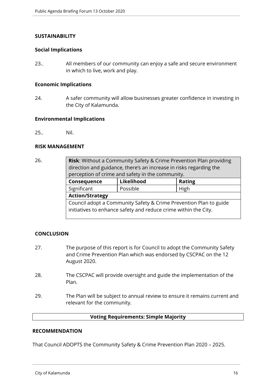#### **SUSTAINABILITY**

#### **Social Implications**

23.. All members of our community can enjoy a safe and secure environment in which to live, work and play.

#### **Economic Implications**

24. A safer community will allow businesses greater confidence in investing in the City of Kalamunda.

#### **Environmental Implications**

25.. Nil.

#### **RISK MANAGEMENT**

| 26. | <b>Risk:</b> Without a Community Safety & Crime Prevention Plan providing<br>direction and guidance, there's an increase in risks regarding the<br>perception of crime and safety in the community. |            |        |  |
|-----|-----------------------------------------------------------------------------------------------------------------------------------------------------------------------------------------------------|------------|--------|--|
|     | Consequence                                                                                                                                                                                         | Likelihood | Rating |  |
|     | Significant                                                                                                                                                                                         | Possible   | High   |  |
|     | <b>Action/Strategy</b>                                                                                                                                                                              |            |        |  |
|     | Council adopt a Community Safety & Crime Prevention Plan to guide<br>initiatives to enhance safety and reduce crime within the City.                                                                |            |        |  |

#### **CONCLUSION**

- 27. The purpose of this report is for Council to adopt the Community Safety and Crime Prevention Plan which was endorsed by CSCPAC on the 12 August 2020.
- 28. The CSCPAC will provide oversight and guide the implementation of the Plan.
- 29. The Plan will be subject to annual review to ensure it remains current and relevant for the community.

#### **Voting Requirements: Simple Majority**

#### **RECOMMENDATION**

That Council ADOPTS the Community Safety & Crime Prevention Plan 2020 – 2025.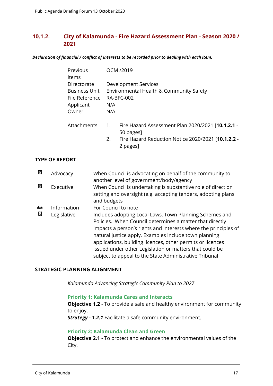## <span id="page-16-0"></span>**10.1.2. City of Kalamunda - Fire Hazard Assessment Plan - Season 2020 / 2021**

*Declaration of financial / conflict of interests to be recorded prior to dealing with each item.*

| Previous<br>Items                                                           |            | OCM /2019                                                                                                                        |
|-----------------------------------------------------------------------------|------------|----------------------------------------------------------------------------------------------------------------------------------|
| Directorate<br><b>Business Unit</b><br>File Reference<br>Applicant<br>Owner | N/A<br>N/A | Development Services<br>Environmental Health & Community Safety<br>RA-BFC-002                                                    |
| Attachments                                                                 | 1.<br>2.   | Fire Hazard Assessment Plan 2020/2021 [10.1.2.1 -<br>50 pages]<br>Fire Hazard Reduction Notice 2020/2021 [10.1.2.2 -<br>2 pages] |

#### **TYPE OF REPORT**

| ⊠      | Advocacy                   | When Council is advocating on behalf of the community to<br>another level of government/body/agency                                                                                                                                                                                                                                                                                                                                                       |
|--------|----------------------------|-----------------------------------------------------------------------------------------------------------------------------------------------------------------------------------------------------------------------------------------------------------------------------------------------------------------------------------------------------------------------------------------------------------------------------------------------------------|
| ⊠      | Executive                  | When Council is undertaking is substantive role of direction<br>setting and oversight (e.g. accepting tenders, adopting plans<br>and budgets                                                                                                                                                                                                                                                                                                              |
| 麟<br>⊠ | Information<br>Legislative | For Council to note<br>Includes adopting Local Laws, Town Planning Schemes and<br>Policies. When Council determines a matter that directly<br>impacts a person's rights and interests where the principles of<br>natural justice apply. Examples include town planning<br>applications, building licences, other permits or licences<br>issued under other Legislation or matters that could be<br>subject to appeal to the State Administrative Tribunal |

#### **STRATEGIC PLANNING ALIGNMENT**

*Kalamunda Advancing Strategic Community Plan to 2027*

#### **Priority 1: Kalamunda Cares and Interacts**

**Objective 1.2** - To provide a safe and healthy environment for community to enjoy.

*Strategy - 1.2.1* Facilitate a safe community environment.

#### **Priority 2: Kalamunda Clean and Green**

**Objective 2.1** - To protect and enhance the environmental values of the City.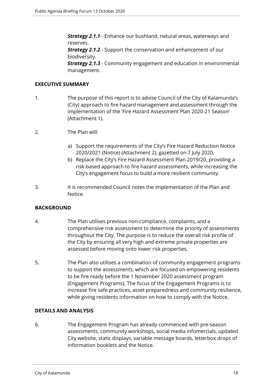*Strategy 2.1.1* - Enhance our bushland, natural areas, waterways and reserves.

**Strategy 2.1.2** - Support the conservation and enhancement of our biodiversity.

*Strategy 2.1.3* - Community engagement and education in environmental management.

#### **EXECUTIVE SUMMARY**

- 1. The purpose of this report is to advise Council of the City of Kalamunda's (City) approach to fire hazard management and assessment through the implementation of the 'Fire Hazard Assessment Plan 2020-21 Season' (Attachment 1).
- 2. The Plan will:
	- a) Support the requirements of the City's Fire Hazard Reduction Notice 2020/2021 (Notice) (Attachment 2), gazetted on 7 July 2020.
	- b) Replace the City's Fire Hazard Assessment Plan 2019/20, providing a risk-based approach to fire hazard assessments, while increasing the City's engagement focus to build a more resilient community.
- 3. It is recommended Council notes the implementation of the Plan and Notice.

#### **BACKGROUND**

- 4. The Plan utilises previous non-compliance, complaints, and a comprehensive risk assessment to determine the priority of assessments throughout the City. The purpose is to reduce the overall risk profile of the City by ensuring all very high and extreme private properties are assessed before moving onto lower risk properties.
- 5. The Plan also utilises a combination of community engagement programs to support the assessments, which are focused on empowering residents to be fire ready before the 1 November 2020 assessment program (Engagement Programs). The focus of the Engagement Programs is to increase fire safe practices, asset preparedness and community resilience, while giving residents information on how to comply with the Notice.

#### **DETAILS AND ANALYSIS**

6. The Engagement Program has already commenced with pre-season assessments, community workshops, social media infomercials, updated City website, static displays, variable message boards, letterbox drops of information booklets and the Notice.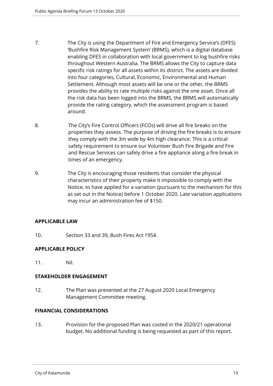- 7. The City is using the Department of Fire and Emergency Service's (DFES) 'Bushfire Risk Management System' (BRMS), which is a digital database enabling DFES in collaboration with local government to log bushfire risks throughout Western Australia. The BRMS allows the City to capture data specific risk ratings for all assets within its district. The assets are divided into four categories, Cultural, Economic, Environmental and Human Settlement. Although most assets will be one or the other, the BRMS provides the ability to rate multiple risks against the one asset. Once all the risk data has been logged into the BRMS, the BRMS will automatically provide the rating category, which the assessment program is based around.
- 8. The City's Fire Control Officers (FCOs) will drive all fire breaks on the properties they assess. The purpose of driving the fire breaks is to ensure they comply with the 3m wide by 4m high clearance. This is a critical safety requirement to ensure our Volunteer Bush Fire Brigade and Fire and Rescue Services can safely drive a fire appliance along a fire break in times of an emergency.
- 9. The City is encouraging those residents that consider the physical characteristics of their property make it impossible to comply with the Notice, to have applied for a variation (pursuant to the mechanism for this as set out in the Notice) before 1 October 2020. Late variation applications may incur an administration fee of \$150.

#### **APPLICABLE LAW**

10. Section 33 and 39, Bush Fires Act 1954.

#### **APPLICABLE POLICY**

11. Nil.

#### **STAKEHOLDER ENGAGEMENT**

12. The Plan was presented at the 27 August 2020 Local Emergency Management Committee meeting.

#### **FINANCIAL CONSIDERATIONS**

13. Provision for the proposed Plan was costed in the 2020/21 operational budget. No additional funding is being requested as part of this report.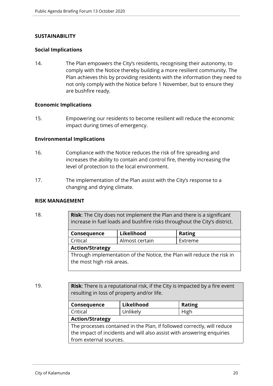#### **SUSTAINABILITY**

#### **Social Implications**

14. The Plan empowers the City's residents, recognising their autonomy, to comply with the Notice thereby building a more resilient community. The Plan achieves this by providing residents with the information they need to not only comply with the Notice before 1 November, but to ensure they are bushfire ready.

#### **Economic Implications**

15. Empowering our residents to become resilient will reduce the economic impact during times of emergency.

#### **Environmental Implications**

- 16. Compliance with the Notice reduces the risk of fire spreading and increases the ability to contain and control fire, thereby increasing the level of protection to the local environment.
- 17. The implementation of the Plan assist with the City's response to a changing and drying climate.

#### **RISK MANAGEMENT**

18. **Risk**: The City does not implement the Plan and there is a significant increase in fuel loads and bushfire risks throughout the City's district.

| Consequence                                                                                         | Likelihood     | <b>Rating</b> |
|-----------------------------------------------------------------------------------------------------|----------------|---------------|
| Critical                                                                                            | Almost certain | Extreme       |
| <b>Action/Strategy</b>                                                                              |                |               |
| Through implementation of the Notice, the Plan will reduce the risk in<br>the most high risk areas. |                |               |

19. **Risk**: There is a reputational risk, if the City is impacted by a fire event resulting in loss of property and/or life.

| Consequence                                                             | Likelihood | <b>Rating</b> |
|-------------------------------------------------------------------------|------------|---------------|
| Critical                                                                | Unlikely   | High          |
| <b>Action/Strategy</b>                                                  |            |               |
| The processes contained in the Plan, if followed correctly, will reduce |            |               |
| the impact of incidents and will also assist with answering enquiries   |            |               |
| from external sources.                                                  |            |               |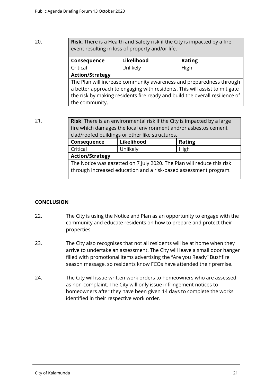#### 20. **Risk**: There is a Health and Safety risk if the City is impacted by a fire event resulting in loss of property and/or life.

| Consequence                                                                 | Likelihood | <b>Rating</b> |
|-----------------------------------------------------------------------------|------------|---------------|
| Critical                                                                    | Unlikely   | High          |
| <b>Action/Strategy</b>                                                      |            |               |
| The Plan will increase community awareness and preparedness through         |            |               |
| a better approach to engaging with residents. This will assist to mitigate  |            |               |
| the risk by making residents fire ready and build the overall resilience of |            |               |
| the community.                                                              |            |               |

21. **Risk**: There is an environmental risk if the City is impacted by a large fire which damages the local environment and/or asbestos cement clad/roofed buildings or other like structures.

| Consequence                                                                                                                                | Likelihood | <b>Rating</b> |
|--------------------------------------------------------------------------------------------------------------------------------------------|------------|---------------|
| Critical                                                                                                                                   | Unlikely   | High          |
| <b>Action/Strategy</b>                                                                                                                     |            |               |
| The Notice was gazetted on 7 July 2020. The Plan will reduce this risk<br>through increased education and a risk-based assessment program. |            |               |

#### **CONCLUSION**

- 22. The City is using the Notice and Plan as an opportunity to engage with the community and educate residents on how to prepare and protect their properties.
- 23. The City also recognises that not all residents will be at home when they arrive to undertake an assessment. The City will leave a small door hanger filled with promotional items advertising the "Are you Ready" Bushfire season message, so residents know FCOs have attended their premise.
- 24. The City will issue written work orders to homeowners who are assessed as non-complaint. The City will only issue infringement notices to homeowners after they have been given 14 days to complete the works identified in their respective work order.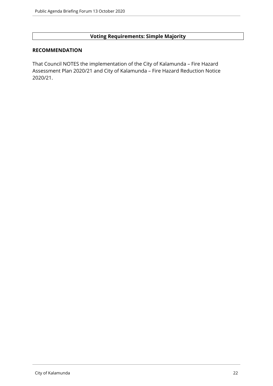## **Voting Requirements: Simple Majority**

#### **RECOMMENDATION**

That Council NOTES the implementation of the City of Kalamunda – Fire Hazard Assessment Plan 2020/21 and City of Kalamunda – Fire Hazard Reduction Notice 2020/21.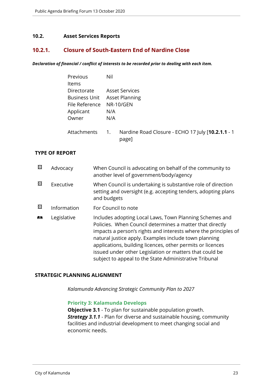#### <span id="page-22-0"></span>**10.2. Asset Services Reports**

## <span id="page-22-1"></span>**10.2.1. Closure of South-Eastern End of Nardine Close**

*Declaration of financial / conflict of interests to be recorded prior to dealing with each item.*

| <b>Previous</b>      | Nil                                                                            |
|----------------------|--------------------------------------------------------------------------------|
| <b>Items</b>         |                                                                                |
| Directorate          | <b>Asset Services</b>                                                          |
| <b>Business Unit</b> | <b>Asset Planning</b>                                                          |
| File Reference       | NR-10/GEN                                                                      |
| Applicant            | N/A                                                                            |
| Owner                | N/A                                                                            |
| Attachments          | Nardine Road Closure - ECHO 17 July [10.2.1.1 - 1<br>$\overline{1}$ .<br>page] |

#### **TYPE OF REPORT**

| 図  | Advocacy    | When Council is advocating on behalf of the community to<br>another level of government/body/agency                                                                                                                                                                                                                                                                                                                                |
|----|-------------|------------------------------------------------------------------------------------------------------------------------------------------------------------------------------------------------------------------------------------------------------------------------------------------------------------------------------------------------------------------------------------------------------------------------------------|
| 図  | Executive   | When Council is undertaking is substantive role of direction<br>setting and oversight (e.g. accepting tenders, adopting plans<br>and budgets                                                                                                                                                                                                                                                                                       |
| ⊠  | Information | For Council to note                                                                                                                                                                                                                                                                                                                                                                                                                |
| 序示 | Legislative | Includes adopting Local Laws, Town Planning Schemes and<br>Policies. When Council determines a matter that directly<br>impacts a person's rights and interests where the principles of<br>natural justice apply. Examples include town planning<br>applications, building licences, other permits or licences<br>issued under other Legislation or matters that could be<br>subject to appeal to the State Administrative Tribunal |

#### **STRATEGIC PLANNING ALIGNMENT**

*Kalamunda Advancing Strategic Community Plan to 2027*

#### **Priority 3: Kalamunda Develops**

**Objective 3.1** - To plan for sustainable population growth. *Strategy 3.1.1* - Plan for diverse and sustainable housing, community facilities and industrial development to meet changing social and economic needs.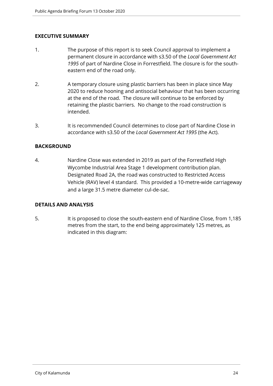## **EXECUTIVE SUMMARY**

- 1. The purpose of this report is to seek Council approval to implement a permanent closure in accordance with s3.50 of the *Local Government Act 1995* of part of Nardine Close in Forrestfield. The closure is for the southeastern end of the road only.
- 2. A temporary closure using plastic barriers has been in place since May 2020 to reduce hooning and antisocial behaviour that has been occurring at the end of the road. The closure will continue to be enforced by retaining the plastic barriers. No change to the road construction is intended.
- 3. It is recommended Council determines to close part of Nardine Close in accordance with s3.50 of the *Local Government Act 1995* (the Act).

## **BACKGROUND**

4. Nardine Close was extended in 2019 as part of the Forrestfield High Wycombe Industrial Area Stage 1 development contribution plan. Designated Road 2A, the road was constructed to Restricted Access Vehicle (RAV) level 4 standard. This provided a 10-metre-wide carriageway and a large 31.5 metre diameter cul-de-sac.

#### **DETAILS AND ANALYSIS**

5. It is proposed to close the south-eastern end of Nardine Close, from 1,185 metres from the start, to the end being approximately 125 metres, as indicated in this diagram: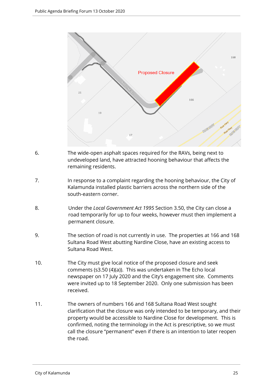

- 6. The wide-open asphalt spaces required for the RAVs, being next to undeveloped land, have attracted hooning behaviour that affects the remaining residents.
- 7. In response to a complaint regarding the hooning behaviour, the City of Kalamunda installed plastic barriers across the northern side of the south-eastern corner.
- 8. Under the *Local Government Act 1995* Section 3.50, the City can close a road temporarily for up to four weeks, however must then implement a permanent closure.
- 9. The section of road is not currently in use. The properties at 166 and 168 Sultana Road West abutting Nardine Close, have an existing access to Sultana Road West.
- 10. The City must give local notice of the proposed closure and seek comments (s3.50 (4)(a)). This was undertaken in The Echo local newspaper on 17 July 2020 and the City's engagement site. Comments were invited up to 18 September 2020. Only one submission has been received.
- 11. The owners of numbers 166 and 168 Sultana Road West sought clarification that the closure was only intended to be temporary, and their property would be accessible to Nardine Close for development. This is confirmed, noting the terminology in the Act is prescriptive, so we must call the closure "permanent" even if there is an intention to later reopen the road.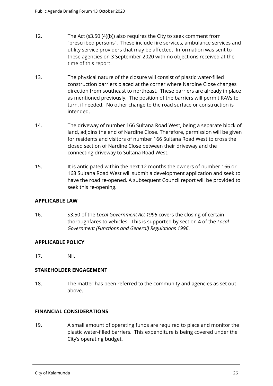- 12. The Act (s3.50 (4)(b)) also requires the City to seek comment from "prescribed persons". These include fire services, ambulance services and utility service providers that may be affected. Information was sent to these agencies on 3 September 2020 with no objections received at the time of this report.
- 13. The physical nature of the closure will consist of plastic water-filled construction barriers placed at the corner where Nardine Close changes direction from southeast to northeast. These barriers are already in place as mentioned previously. The position of the barriers will permit RAVs to turn, if needed. No other change to the road surface or construction is intended.
- 14. The driveway of number 166 Sultana Road West, being a separate block of land, adjoins the end of Nardine Close. Therefore, permission will be given for residents and visitors of number 166 Sultana Road West to cross the closed section of Nardine Close between their driveway and the connecting driveway to Sultana Road West.
- 15. It is anticipated within the next 12 months the owners of number 166 or 168 Sultana Road West will submit a development application and seek to have the road re-opened. A subsequent Council report will be provided to seek this re-opening.

#### **APPLICABLE LAW**

16. S3.50 of the *Local Government Act 1995* covers the closing of certain thoroughfares to vehicles. This is supported by section 4 of the *Local Government (Functions and General) Regulations 1996*.

#### **APPLICABLE POLICY**

17. Nil.

## **STAKEHOLDER ENGAGEMENT**

18. The matter has been referred to the community and agencies as set out above.

## **FINANCIAL CONSIDERATIONS**

19. A small amount of operating funds are required to place and monitor the plastic water-filled barriers. This expenditure is being covered under the City's operating budget.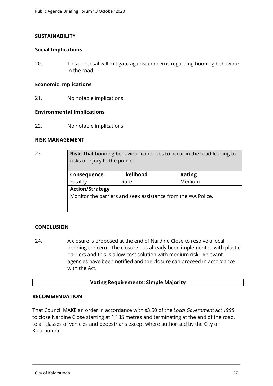#### **SUSTAINABILITY**

#### **Social Implications**

20. This proposal will mitigate against concerns regarding hooning behaviour in the road.

#### **Economic Implications**

21. No notable implications.

#### **Environmental Implications**

22. No notable implications.

#### **RISK MANAGEMENT**

23. **Risk**: That hooning behaviour continues to occur in the road leading to risks of injury to the public.

| Consequence            | Likelihood                                                   | <b>Rating</b> |
|------------------------|--------------------------------------------------------------|---------------|
| Fatality               | Rare                                                         | Medium        |
| <b>Action/Strategy</b> |                                                              |               |
|                        | Monitor the barriers and seek assistance from the WA Police. |               |

## **CONCLUSION**

24. A closure is proposed at the end of Nardine Close to resolve a local hooning concern. The closure has already been implemented with plastic barriers and this is a low-cost solution with medium risk. Relevant agencies have been notified and the closure can proceed in accordance with the Act.

#### **Voting Requirements: Simple Majority**

#### **RECOMMENDATION**

That Council MAKE an order in accordance with s3.50 of the *Local Government Act 1995* to close Nardine Close starting at 1,185 metres and terminating at the end of the road, to all classes of vehicles and pedestrians except where authorised by the City of Kalamunda.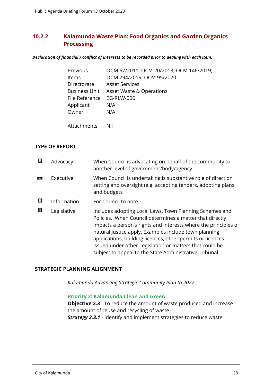## <span id="page-27-0"></span>**10.2.2. Kalamunda Waste Plan: Food Organics and Garden Organics Processing**

*Declaration of financial / conflict of interests to be recorded prior to dealing with each item.*

| Previous             | OCM 67/2011; OCM 20/2013; OCM 146/2019; |
|----------------------|-----------------------------------------|
| <b>Items</b>         | OCM 294/2019; OCM 95/2020               |
| Directorate          | <b>Asset Services</b>                   |
| <b>Business Unit</b> | <b>Asset Waste &amp; Operations</b>     |
| File Reference       | <b>EG-RLW-006</b>                       |
| Applicant            | N/A                                     |
| Owner                | N/A                                     |
|                      |                                         |
| Attachments          | Nil                                     |

#### **TYPE OF REPORT**

| 図 | Advocacy    | When Council is advocating on behalf of the community to<br>another level of government/body/agency                                                                                                                                                                                                                                                                                                                                |
|---|-------------|------------------------------------------------------------------------------------------------------------------------------------------------------------------------------------------------------------------------------------------------------------------------------------------------------------------------------------------------------------------------------------------------------------------------------------|
| € | Executive   | When Council is undertaking is substantive role of direction<br>setting and oversight (e.g. accepting tenders, adopting plans<br>and budgets                                                                                                                                                                                                                                                                                       |
| 図 | Information | For Council to note                                                                                                                                                                                                                                                                                                                                                                                                                |
| 図 | Legislative | Includes adopting Local Laws, Town Planning Schemes and<br>Policies. When Council determines a matter that directly<br>impacts a person's rights and interests where the principles of<br>natural justice apply. Examples include town planning<br>applications, building licences, other permits or licences<br>issued under other Legislation or matters that could be<br>subject to appeal to the State Administrative Tribunal |

#### **STRATEGIC PLANNING ALIGNMENT**

*Kalamunda Advancing Strategic Community Plan to 2027*

#### **Priority 2: Kalamunda Clean and Green**

**Objective 2.3** - To reduce the amount of waste produced and increase the amount of reuse and recycling of waste. *Strategy 2.3.1* - Identify and implement strategies to reduce waste.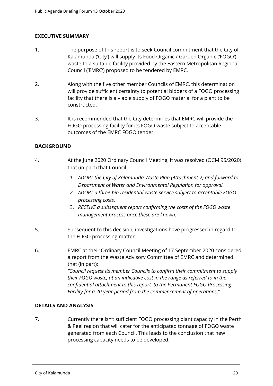## **EXECUTIVE SUMMARY**

- 1. The purpose of this report is to seek Council commitment that the City of Kalamunda ('City') will supply its Food Organic / Garden Organic ('FOGO') waste to a suitable facility provided by the Eastern Metropolitan Regional Council ('EMRC') proposed to be tendered by EMRC.
- 2. Along with the five other member Councils of EMRC, this determination will provide sufficient certainty to potential bidders of a FOGO processing facility that there is a viable supply of FOGO material for a plant to be constructed.
- 3. It is recommended that the City determines that EMRC will provide the FOGO processing facility for its FOGO waste subject to acceptable outcomes of the EMRC FOGO tender.

## **BACKGROUND**

- 4. At the June 2020 Ordinary Council Meeting, it was resolved (OCM 95/2020) that (in part) that Council:
	- *1. ADOPT the City of Kalamunda Waste Plan (Attachment 2) and forward to Department of Water and Environmental Regulation for approval.*
	- *2. ADOPT a three-bin residential waste service subject to acceptable FOGO processing costs.*
	- 3. *RECEIVE a subsequent report confirming the costs of the FOGO waste management process once these are known*.
- 5. Subsequent to this decision, investigations have progressed in regard to the FOGO processing matter.
- 6. EMRC at their Ordinary Council Meeting of 17 September 2020 considered a report from the Waste Advisory Committee of EMRC and determined that (in part):

*"Council request its member Councils to confirm their commitment to supply their FOGO waste, at an indicative cost in the range as referred to in the confidential attachment to this report, to the Permanent FOGO Processing Facility for a 20-year period from the commencement of operations*."

#### **DETAILS AND ANALYSIS**

7. Currently there isn't sufficient FOGO processing plant capacity in the Perth & Peel region that will cater for the anticipated tonnage of FOGO waste generated from each Council. This leads to the conclusion that new processing capacity needs to be developed.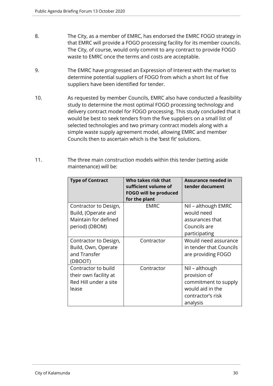- 8. The City, as a member of EMRC, has endorsed the EMRC FOGO strategy in that EMRC will provide a FOGO processing facility for its member councils. The City, of course, would only commit to any contract to provide FOGO waste to EMRC once the terms and costs are acceptable.
- 9. The EMRC have progressed an Expression of Interest with the market to determine potential suppliers of FOGO from which a short list of five suppliers have been identified for tender.
- 10. As requested by member Councils, EMRC also have conducted a feasibility study to determine the most optimal FOGO processing technology and delivery contract model for FOGO processing. This study concluded that it would be best to seek tenders from the five suppliers on a small list of selected technologies and two primary contract models along with a simple waste supply agreement model, allowing EMRC and member Councils then to ascertain which is the 'best fit' solutions.
- 11. The three main construction models within this tender (setting aside maintenance) will be:

| <b>Type of Contract</b>                                                                | Who takes risk that<br>sufficient volume of<br><b>FOGO will be produced</b><br>for the plant | Assurance needed in<br>tender document                                                                      |
|----------------------------------------------------------------------------------------|----------------------------------------------------------------------------------------------|-------------------------------------------------------------------------------------------------------------|
| Contractor to Design,<br>Build, (Operate and<br>Maintain for defined<br>period) (DBOM) | <b>EMRC</b>                                                                                  | Nil - although EMRC<br>would need<br>assurances that<br>Councils are<br>participating                       |
| Contractor to Design,<br>Build, Own, Operate<br>and Transfer<br>(DBOOT)                | Contractor                                                                                   | Would need assurance<br>in tender that Councils<br>are providing FOGO                                       |
| Contractor to build<br>their own facility at<br>Red Hill under a site<br>lease         | Contractor                                                                                   | Nil - although<br>provision of<br>commitment to supply<br>would aid in the<br>contractor's risk<br>analysis |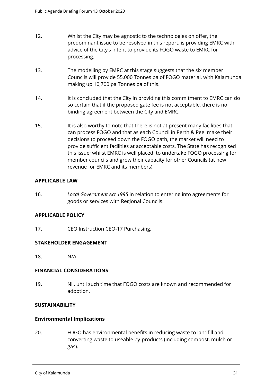- 12. Whilst the City may be agnostic to the technologies on offer, the predominant issue to be resolved in this report, is providing EMRC with advice of the City's intent to provide its FOGO waste to EMRC for processing.
- 13. The modelling by EMRC at this stage suggests that the six member Councils will provide 55,000 Tonnes pa of FOGO material, with Kalamunda making up 10,700 pa Tonnes pa of this.
- 14. It is concluded that the City in providing this commitment to EMRC can do so certain that if the proposed gate fee is not acceptable, there is no binding agreement between the City and EMRC.
- 15. It is also worthy to note that there is not at present many facilities that can process FOGO and that as each Council in Perth & Peel make their decisions to proceed down the FOGO path, the market will need to provide sufficient facilities at acceptable costs. The State has recognised this issue; whilst EMRC is well placed to undertake FOGO processing for member councils and grow their capacity for other Councils (at new revenue for EMRC and its members).

## **APPLICABLE LAW**

16. *Local Government Act 1995* in relation to entering into agreements for goods or services with Regional Councils.

#### **APPLICABLE POLICY**

17. CEO Instruction CEO-17 Purchasing.

#### **STAKEHOLDER ENGAGEMENT**

18. N/A.

#### **FINANCIAL CONSIDERATIONS**

19. Nil, until such time that FOGO costs are known and recommended for adoption.

#### **SUSTAINABILITY**

#### **Environmental Implications**

20. FOGO has environmental benefits in reducing waste to landfill and converting waste to useable by-products (including compost, mulch or gas).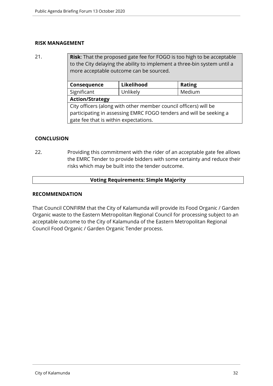#### **RISK MANAGEMENT**

21. **Risk**: That the proposed gate fee for FOGO is too high to be acceptable to the City delaying the ability to implement a three-bin system until a more acceptable outcome can be sourced.

| Consequence                                                        | Likelihood | <b>Rating</b> |
|--------------------------------------------------------------------|------------|---------------|
| Significant                                                        | Unlikely   | Medium        |
| <b>Action/Strategy</b>                                             |            |               |
| City officers (along with other member council officers) will be   |            |               |
| participating in assessing EMRC FOGO tenders and will be seeking a |            |               |
| gate fee that is within expectations.                              |            |               |
|                                                                    |            |               |

#### **CONCLUSION**

22. Providing this commitment with the rider of an acceptable gate fee allows the EMRC Tender to provide bidders with some certainty and reduce their risks which may be built into the tender outcome.

#### **Voting Requirements: Simple Majority**

#### **RECOMMENDATION**

That Council CONFIRM that the City of Kalamunda will provide its Food Organic / Garden Organic waste to the Eastern Metropolitan Regional Council for processing subject to an acceptable outcome to the City of Kalamunda of the Eastern Metropolitan Regional Council Food Organic / Garden Organic Tender process.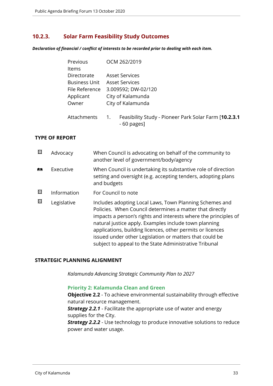## <span id="page-32-0"></span>**10.2.3. Solar Farm Feasibility Study Outcomes**

*Declaration of financial / conflict of interests to be recorded prior to dealing with each item.*

| Previous             | OCM 262/2019                                                                |
|----------------------|-----------------------------------------------------------------------------|
| Items                |                                                                             |
| Directorate          | <b>Asset Services</b>                                                       |
| <b>Business Unit</b> | <b>Asset Services</b>                                                       |
| File Reference       | 3.009592; DW-02/120                                                         |
| Applicant            | City of Kalamunda                                                           |
| Owner                | City of Kalamunda                                                           |
| Attachments          | Feasibility Study - Pioneer Park Solar Farm [10.2.3.1]<br>1.<br>- 60 pages] |

#### **TYPE OF REPORT**

| ⊠ | Advocacy    | When Council is advocating on behalf of the community to<br>another level of government/body/agency                                                                                                                                                                                                                                                                                                                                |
|---|-------------|------------------------------------------------------------------------------------------------------------------------------------------------------------------------------------------------------------------------------------------------------------------------------------------------------------------------------------------------------------------------------------------------------------------------------------|
| 麟 | Executive   | When Council is undertaking its substantive role of direction<br>setting and oversight (e.g. accepting tenders, adopting plans<br>and budgets                                                                                                                                                                                                                                                                                      |
| 図 | Information | For Council to note                                                                                                                                                                                                                                                                                                                                                                                                                |
| ⊠ | Legislative | Includes adopting Local Laws, Town Planning Schemes and<br>Policies. When Council determines a matter that directly<br>impacts a person's rights and interests where the principles of<br>natural justice apply. Examples include town planning<br>applications, building licences, other permits or licences<br>issued under other Legislation or matters that could be<br>subject to appeal to the State Administrative Tribunal |

#### **STRATEGIC PLANNING ALIGNMENT**

*Kalamunda Advancing Strategic Community Plan to 2027*

#### **Priority 2: Kalamunda Clean and Green**

**Objective 2.2** - To achieve environmental sustainability through effective natural resource management.

*Strategy 2.2.1* - Facilitate the appropriate use of water and energy supplies for the City.

**Strategy 2.2.2** - Use technology to produce innovative solutions to reduce power and water usage.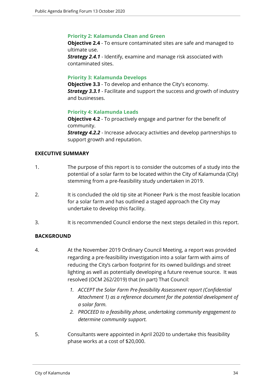#### **Priority 2: Kalamunda Clean and Green**

**Objective 2.4** - To ensure contaminated sites are safe and managed to ultimate use. *Strategy 2.4.1* - Identify, examine and manage risk associated with

contaminated sites.

#### **Priority 3: Kalamunda Develops**

**Objective 3.3** - To develop and enhance the City's economy. *Strategy 3.3.1* - Facilitate and support the success and growth of industry and businesses.

#### **Priority 4: Kalamunda Leads**

**Objective 4.2** - To proactively engage and partner for the benefit of community.

*Strategy 4.2.2* - Increase advocacy activities and develop partnerships to support growth and reputation.

#### **EXECUTIVE SUMMARY**

- 1. The purpose of this report is to consider the outcomes of a study into the potential of a solar farm to be located within the City of Kalamunda (City) stemming from a pre-feasibility study undertaken in 2019.
- 2. It is concluded the old tip site at Pioneer Park is the most feasible location for a solar farm and has outlined a staged approach the City may undertake to develop this facility.
- 3. It is recommended Council endorse the next steps detailed in this report.

#### **BACKGROUND**

- 4. At the November 2019 Ordinary Council Meeting, a report was provided regarding a pre-feasibility investigation into a solar farm with aims of reducing the City's carbon footprint for its owned buildings and street lighting as well as potentially developing a future revenue source. It was resolved (OCM 262/2019) that (in part) That Council:
	- *1. ACCEPT the Solar Farm Pre-feasibility Assessment report (Confidential Attachment 1) as a reference document for the potential development of a solar farm.*
	- *2. PROCEED to a feasibility phase, undertaking community engagement to determine community support.*
- 5. Consultants were appointed in April 2020 to undertake this feasibility phase works at a cost of \$20,000.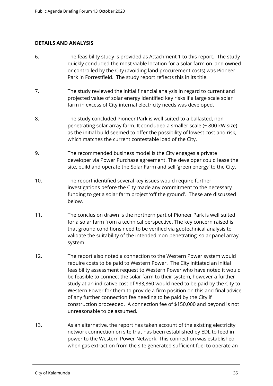#### **DETAILS AND ANALYSIS**

- 6. The feasibility study is provided as Attachment 1 to this report. The study quickly concluded the most viable location for a solar farm on land owned or controlled by the City (avoiding land procurement costs) was Pioneer Park in Forrestfield. The study report reflects this in its title.
- 7. The study reviewed the initial financial analysis in regard to current and projected value of solar energy identified key risks if a large scale solar farm in excess of City internal electricity needs was developed.
- 8. The study concluded Pioneer Park is well suited to a ballasted, non penetrating solar array farm. It concluded a smaller scale (~ 800 kW size) as the initial build seemed to offer the possibility of lowest cost and risk, which matches the current contestable load of the City.
- 9. The recommended business model is the City engages a private developer via Power Purchase agreement. The developer could lease the site, build and operate the Solar Farm and sell 'green energy' to the City.
- 10. The report identified several key issues would require further investigations before the City made any commitment to the necessary funding to get a solar farm project 'off the ground'. These are discussed below.
- 11. The conclusion drawn is the northern part of Pioneer Park is well suited for a solar farm from a technical perspective. The key concern raised is that ground conditions need to be verified via geotechnical analysis to validate the suitability of the intended 'non-penetrating' solar panel array system.
- 12. The report also noted a connection to the Western Power system would require costs to be paid to Western Power. The City initiated an initial feasibility assessment request to Western Power who have noted it would be feasible to connect the solar farm to their system, however a further study at an indicative cost of \$33,860 would need to be paid by the City to Western Power for them to provide a firm position on this and final advice of any further connection fee needing to be paid by the City if construction proceeded. A connection fee of \$150,000 and beyond is not unreasonable to be assumed.
- 13. As an alternative, the report has taken account of the existing electricity network connection on site that has been established by EDL to feed in power to the Western Power Network. This connection was established when gas extraction from the site generated sufficient fuel to operate an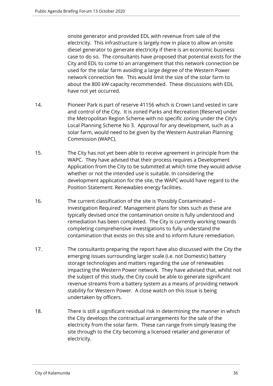onsite generator and provided EDL with revenue from sale of the electricity. This infrastructure is largely now in place to allow an onsite diesel generator to generate electricity if there is an economic business case to do so. The consultants have proposed that potential exists for the City and EDL to come to an arrangement that this network connection be used for the solar farm avoiding a large degree of the Western Power network connection fee. This would limit the size of the solar farm to about the 800 kW capacity recommended. These discussions with EDL have not yet occurred.

- 14. Pioneer Park is part of reserve 41156 which is Crown Land vested in care and control of the City. It is zoned Parks and Recreation [Reserve] under the Metropolitan Region Scheme with no specific zoning under the City's Local Planning Scheme No 3. Approval for any development, such as a solar farm, would need to be given by the Western Australian Planning Commission (WAPC).
- 15. The City has not yet been able to receive agreement in principle from the WAPC. They have advised that their process requires a Development Application from the City to be submitted at which time they would advise whether or not the intended use is suitable. In considering the development application for the site, the WAPC would have regard to the Position Statement: Renewables energy facilities.
- 16. The current classification of the site is 'Possibly Contaminated Investigation Required'. Management plans for sites such as these are typically devised once the contamination onsite is fully understood and remediation has been completed. The City is currently working towards completing comprehensive investigations to fully understand the contamination that exists on this site and to inform future remediation.
- 17. The consultants preparing the report have also discussed with the City the emerging issues surrounding larger scale (i.e. not Domestic) battery storage technologies and matters regarding the use of renewables impacting the Western Power network. They have advised that, whilst not the subject of this study, the City could be able to generate significant revenue streams from a battery system as a means of providing network stability for Western Power. A close watch on this issue is being undertaken by officers.
- 18. There is still a significant residual risk in determining the manner in which the City develops the contractual arrangements for the sale of the electricity from the solar farm. These can range from simply leasing the site through to the City becoming a licensed retailer and generator of electricity.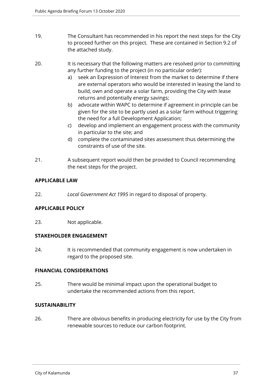- 19. The Consultant has recommended in his report the next steps for the City to proceed further on this project. These are contained in Section 9.2 of the attached study.
- 20. It is necessary that the following matters are resolved prior to committing any further funding to the project (in no particular order):
	- a) seek an Expression of Interest from the market to determine if there are external operators who would be interested in leasing the land to build, own and operate a solar farm, providing the City with lease returns and potentially energy savings;
	- b) advocate within WAPC to determine if agreement in principle can be given for the site to be partly used as a solar farm without triggering the need for a full Development Application;
	- c) develop and implement an engagement process with the community in particular to the site; and
	- d) complete the contaminated sites assessment thus determining the constraints of use of the site.
- 21. A subsequent report would then be provided to Council recommending the next steps for the project.

# **APPLICABLE LAW**

22. *Local Government Act 1995* in regard to disposal of property.

# **APPLICABLE POLICY**

23. Not applicable.

## **STAKEHOLDER ENGAGEMENT**

24. It is recommended that community engagement is now undertaken in regard to the proposed site.

## **FINANCIAL CONSIDERATIONS**

25. There would be minimal impact upon the operational budget to undertake the recommended actions from this report.

## **SUSTAINABILITY**

26. There are obvious benefits in producing electricity for use by the City from renewable sources to reduce our carbon footprint.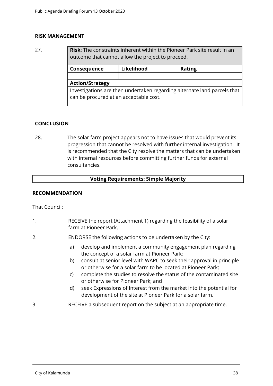## **RISK MANAGEMENT**

27. **Risk**: The constraints inherent within the Pioneer Park site result in an outcome that cannot allow the project to proceed.

| Consequence                                                                                                        | Likelihood | <b>Rating</b> |
|--------------------------------------------------------------------------------------------------------------------|------------|---------------|
|                                                                                                                    |            |               |
| <b>Action/Strategy</b>                                                                                             |            |               |
| Investigations are then undertaken regarding alternate land parcels that<br>can be procured at an acceptable cost. |            |               |

## **CONCLUSION**

28. The solar farm project appears not to have issues that would prevent its progression that cannot be resolved with further internal investigation. It is recommended that the City resolve the matters that can be undertaken with internal resources before committing further funds for external consultancies.

## **Voting Requirements: Simple Majority**

## **RECOMMENDATION**

That Council:

- 1. RECEIVE the report (Attachment 1) regarding the feasibility of a solar farm at Pioneer Park.
- 2. ENDORSE the following actions to be undertaken by the City:
	- a) develop and implement a community engagement plan regarding the concept of a solar farm at Pioneer Park;
	- b) consult at senior level with WAPC to seek their approval in principle or otherwise for a solar farm to be located at Pioneer Park;
	- c) complete the studies to resolve the status of the contaminated site or otherwise for Pioneer Park; and
	- d) seek Expressions of Interest from the market into the potential for development of the site at Pioneer Park for a solar farm.
- 3. RECEIVE a subsequent report on the subject at an appropriate time.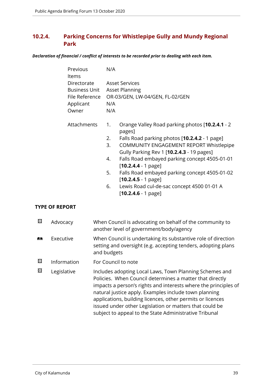# **10.2.4. Parking Concerns for Whistlepipe Gully and Mundy Regional Park**

*Declaration of financial / conflict of interests to be recorded prior to dealing with each item.*

| Previous<br><b>Items</b> | N/A |                                                 |
|--------------------------|-----|-------------------------------------------------|
| Directorate              |     | <b>Asset Services</b>                           |
| Business Unit            |     | <b>Asset Planning</b>                           |
| File Reference           |     | OR-03/GEN, LW-04/GEN, FL-02/GEN                 |
| Applicant                | N/A |                                                 |
| Owner                    | N/A |                                                 |
| Attachments              | 1.  | Orange Valley Road parking photos [10.2.4.1 - 2 |
|                          |     | pages]                                          |
|                          | 2.  | Falls Road parking photos [10.2.4.2 - 1 page]   |
|                          | 3.  | COMMUNITY ENGAGEMENT REPORT Whistlepipe         |
|                          |     | Gully Parking Rev 1 [10.2.4.3 - 19 pages]       |
|                          | 4.  | Falls Road embayed parking concept 4505-01-01   |
|                          |     | $[10.2.4.4 - 1$ page]                           |
|                          | 5.  | Falls Road embayed parking concept 4505-01-02   |
|                          |     | $[10.2.4.5 - 1$ page]                           |
|                          | 6.  | Lewis Road cul-de-sac concept 4500 01-01 A      |
|                          |     | $[10.2.4.6 - 1$ page]                           |

## **TYPE OF REPORT**

| 囨 | Advocacy    | When Council is advocating on behalf of the community to<br>another level of government/body/agency                                                                                                                                                                                                                                                                                                                                |
|---|-------------|------------------------------------------------------------------------------------------------------------------------------------------------------------------------------------------------------------------------------------------------------------------------------------------------------------------------------------------------------------------------------------------------------------------------------------|
| 麟 | Executive   | When Council is undertaking its substantive role of direction<br>setting and oversight (e.g. accepting tenders, adopting plans<br>and budgets                                                                                                                                                                                                                                                                                      |
| 図 | Information | For Council to note                                                                                                                                                                                                                                                                                                                                                                                                                |
| ⊠ | Legislative | Includes adopting Local Laws, Town Planning Schemes and<br>Policies. When Council determines a matter that directly<br>impacts a person's rights and interests where the principles of<br>natural justice apply. Examples include town planning<br>applications, building licences, other permits or licences<br>issued under other Legislation or matters that could be<br>subject to appeal to the State Administrative Tribunal |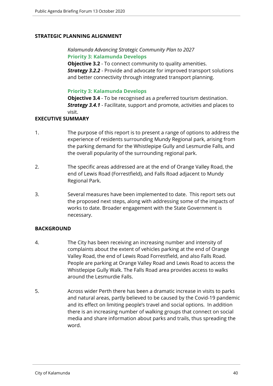## **STRATEGIC PLANNING ALIGNMENT**

*Kalamunda Advancing Strategic Community Plan to 2027* **Priority 3: Kalamunda Develops**

**Objective 3.2** - To connect community to quality amenities. *Strategy 3.2.2* - Provide and advocate for improved transport solutions and better connectivity through integrated transport planning.

## **Priority 3: Kalamunda Develops**

**Objective 3.4** - To be recognised as a preferred tourism destination. *Strategy 3.4.1* - Facilitate, support and promote, activities and places to visit.

## **EXECUTIVE SUMMARY**

- 1. The purpose of this report is to present a range of options to address the experience of residents surrounding Mundy Regional park, arising from the parking demand for the Whistlepipe Gully and Lesmurdie Falls, and the overall popularity of the surrounding regional park.
- 2. The specific areas addressed are at the end of Orange Valley Road, the end of Lewis Road (Forrestfield), and Falls Road adjacent to Mundy Regional Park.
- 3. Several measures have been implemented to date. This report sets out the proposed next steps, along with addressing some of the impacts of works to date. Broader engagement with the State Government is necessary.

## **BACKGROUND**

- 4. The City has been receiving an increasing number and intensity of complaints about the extent of vehicles parking at the end of Orange Valley Road, the end of Lewis Road Forrestfield, and also Falls Road. People are parking at Orange Valley Road and Lewis Road to access the Whistlepipe Gully Walk. The Falls Road area provides access to walks around the Lesmurdie Falls.
- 5. Across wider Perth there has been a dramatic increase in visits to parks and natural areas, partly believed to be caused by the Covid-19 pandemic and its effect on limiting people's travel and social options. In addition there is an increasing number of walking groups that connect on social media and share information about parks and trails, thus spreading the word.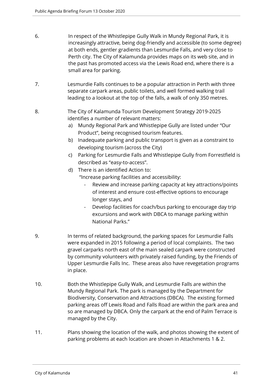- 6. In respect of the Whistlepipe Gully Walk in Mundy Regional Park, it is increasingly attractive, being dog-friendly and accessible (to some degree) at both ends, gentler gradients than Lesmurdie Falls, and very close to Perth city. The City of Kalamunda provides maps on its web site, and in the past has promoted access via the Lewis Road end, where there is a small area for parking.
- 7. Lesmurdie Falls continues to be a popular attraction in Perth with three separate carpark areas, public toilets, and well formed walking trail leading to a lookout at the top of the falls, a walk of only 350 metres.
- 8. The City of Kalamunda Tourism Development Strategy 2019-2025 identifies a number of relevant matters:
	- a) Mundy Regional Park and Whistlepipe Gully are listed under "Our Product", being recognised tourism features.
	- b) Inadequate parking and public transport is given as a constraint to developing tourism (across the City)
	- c) Parking for Lesmurdie Falls and Whistlepipe Gully from Forrestfield is described as "easy-to-access".
	- d) There is an identified Action to: "Increase parking facilities and accessibility:
		- Review and increase parking capacity at key attractions/points of interest and ensure cost-effective options to encourage longer stays, and
		- Develop facilities for coach/bus parking to encourage day trip excursions and work with DBCA to manage parking within National Parks."
- 9. In terms of related background, the parking spaces for Lesmurdie Falls were expanded in 2015 following a period of local complaints. The two gravel carparks north east of the main sealed carpark were constructed by community volunteers with privately raised funding, by the Friends of Upper Lesmurdie Falls Inc. These areas also have revegetation programs in place.
- 10. Both the Whistlepipe Gully Walk, and Lesmurdie Falls are within the Mundy Regional Park. The park is managed by the Department for Biodiversity, Conservation and Attractions (DBCA). The existing formed parking areas off Lewis Road and Falls Road are within the park area and so are managed by DBCA. Only the carpark at the end of Palm Terrace is managed by the City.
- 11. Plans showing the location of the walk, and photos showing the extent of parking problems at each location are shown in Attachments 1 & 2.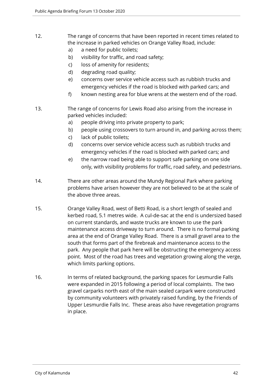- 12. The range of concerns that have been reported in recent times related to the increase in parked vehicles on Orange Valley Road, include:
	- a) a need for public toilets;
	- b) visibility for traffic, and road safety;
	- c) loss of amenity for residents;
	- d) degrading road quality;
	- e) concerns over service vehicle access such as rubbish trucks and emergency vehicles if the road is blocked with parked cars; and
	- f) known nesting area for blue wrens at the western end of the road.
- 13. The range of concerns for Lewis Road also arising from the increase in parked vehicles included:
	- a) people driving into private property to park;
	- b) people using crossovers to turn around in, and parking across them;
	- c) lack of public toilets;
	- d) concerns over service vehicle access such as rubbish trucks and emergency vehicles if the road is blocked with parked cars; and
	- e) the narrow road being able to support safe parking on one side only, with visibility problems for traffic, road safety, and pedestrians.
- 14. There are other areas around the Mundy Regional Park where parking problems have arisen however they are not believed to be at the scale of the above three areas.
- 15. Orange Valley Road, west of Betti Road, is a short length of sealed and kerbed road, 5.1 metres wide. A cul-de-sac at the end is undersized based on current standards, and waste trucks are known to use the park maintenance access driveway to turn around. There is no formal parking area at the end of Orange Valley Road. There is a small gravel area to the south that forms part of the firebreak and maintenance access to the park. Any people that park here will be obstructing the emergency access point. Most of the road has trees and vegetation growing along the verge, which limits parking options.
- 16. In terms of related background, the parking spaces for Lesmurdie Falls were expanded in 2015 following a period of local complaints. The two gravel carparks north east of the main sealed carpark were constructed by community volunteers with privately raised funding, by the Friends of Upper Lesmurdie Falls Inc. These areas also have revegetation programs in place.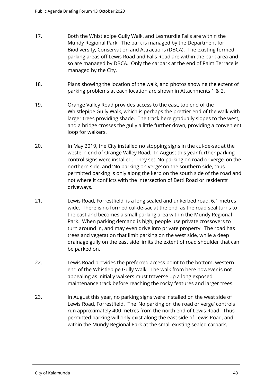- 17. Both the Whistlepipe Gully Walk, and Lesmurdie Falls are within the Mundy Regional Park. The park is managed by the Department for Biodiversity, Conservation and Attractions (DBCA). The existing formed parking areas off Lewis Road and Falls Road are within the park area and so are managed by DBCA. Only the carpark at the end of Palm Terrace is managed by the City.
- 18. Plans showing the location of the walk, and photos showing the extent of parking problems at each location are shown in Attachments 1 & 2.
- 19. Orange Valley Road provides access to the east, top end of the Whistlepipe Gully Walk, which is perhaps the prettier end of the walk with larger trees providing shade. The track here gradually slopes to the west, and a bridge crosses the gully a little further down, providing a convenient loop for walkers.
- 20. In May 2019, the City installed no stopping signs in the cul-de-sac at the western end of Orange Valley Road. In August this year further parking control signs were installed. They set 'No parking on road or verge' on the northern side, and 'No parking on verge' on the southern side, thus permitted parking is only along the kerb on the south side of the road and not where it conflicts with the intersection of Betti Road or residents' driveways.
- 21. Lewis Road, Forrestfield, is a long sealed and unkerbed road, 6.1 metres wide. There is no formed cul-de-sac at the end, as the road seal turns to the east and becomes a small parking area within the Mundy Regional Park. When parking demand is high, people use private crossovers to turn around in, and may even drive into private property. The road has trees and vegetation that limit parking on the west side, while a deep drainage gully on the east side limits the extent of road shoulder that can be parked on.
- 22. Lewis Road provides the preferred access point to the bottom, western end of the Whistlepipe Gully Walk. The walk from here however is not appealing as initially walkers must traverse up a long exposed maintenance track before reaching the rocky features and larger trees.
- 23. In August this year, no parking signs were installed on the west side of Lewis Road, Forrestfield. The 'No parking on the road or verge' controls run approximately 400 metres from the north end of Lewis Road. Thus permitted parking will only exist along the east side of Lewis Road, and within the Mundy Regional Park at the small existing sealed carpark.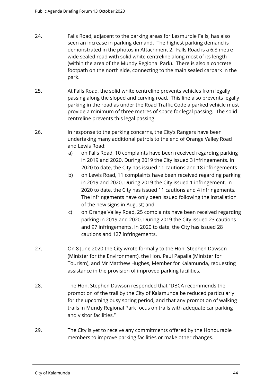- 24. Falls Road, adjacent to the parking areas for Lesmurdie Falls, has also seen an increase in parking demand. The highest parking demand is demonstrated in the photos in Attachment 2. Falls Road is a 6.8 metre wide sealed road with solid white centreline along most of its length (within the area of the Mundy Regional Park). There is also a concrete footpath on the north side, connecting to the main sealed carpark in the park.
- 25. At Falls Road, the solid white centreline prevents vehicles from legally passing along the sloped and curving road. This line also prevents legally parking in the road as under the Road Traffic Code a parked vehicle must provide a minimum of three metres of space for legal passing. The solid centreline prevents this legal passing.
- 26. In response to the parking concerns, the City's Rangers have been undertaking many additional patrols to the end of Orange Valley Road and Lewis Road:
	- a) on Falls Road, 10 complaints have been received regarding parking in 2019 and 2020. During 2019 the City issued 3 infringements. In 2020 to date, the City has issued 11 cautions and 18 infringements
	- b) on Lewis Road, 11 complaints have been received regarding parking in 2019 and 2020. During 2019 the City issued 1 infringement. In 2020 to date, the City has issued 11 cautions and 4 infringements. The infringements have only been issued following the installation of the new signs in August; and
	- c) on Orange Valley Road, 25 complaints have been received regarding parking in 2019 and 2020. During 2019 the City issued 23 cautions and 97 infringements. In 2020 to date, the City has issued 28 cautions and 127 infringements.
- 27. On 8 June 2020 the City wrote formally to the Hon. Stephen Dawson (Minister for the Environment), the Hon. Paul Papalia (Minister for Tourism), and Mr Matthew Hughes, Member for Kalamunda, requesting assistance in the provision of improved parking facilities.
- 28. The Hon. Stephen Dawson responded that "DBCA recommends the promotion of the trail by the City of Kalamunda be reduced particularly for the upcoming busy spring period, and that any promotion of walking trails in Mundy Regional Park focus on trails with adequate car parking and visitor facilities."
- 29. The City is yet to receive any commitments offered by the Honourable members to improve parking facilities or make other changes.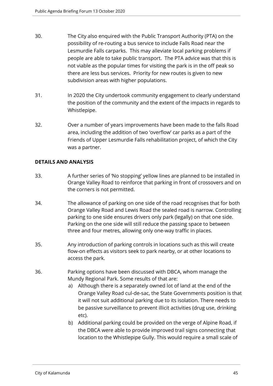- 30. The City also enquired with the Public Transport Authority (PTA) on the possibility of re-routing a bus service to include Falls Road near the Lesmurdie Falls carparks. This may alleviate local parking problems if people are able to take public transport. The PTA advice was that this is not viable as the popular times for visiting the park is in the off peak so there are less bus services. Priority for new routes is given to new subdivision areas with higher populations.
- 31. In 2020 the City undertook community engagement to clearly understand the position of the community and the extent of the impacts in regards to Whistlepipe.
- 32. Over a number of years improvements have been made to the falls Road area, including the addition of two 'overflow' car parks as a part of the Friends of Upper Lesmurdie Falls rehabilitation project, of which the City was a partner.

## **DETAILS AND ANALYSIS**

- 33. A further series of 'No stopping' yellow lines are planned to be installed in Orange Valley Road to reinforce that parking in front of crossovers and on the corners is not permitted.
- 34. The allowance of parking on one side of the road recognises that for both Orange Valley Road and Lewis Road the sealed road is narrow. Controlling parking to one side ensures drivers only park (legally) on that one side. Parking on the one side will still reduce the passing space to between three and four metres, allowing only one-way traffic in places.
- 35. Any introduction of parking controls in locations such as this will create flow-on effects as visitors seek to park nearby, or at other locations to access the park.
- 36. Parking options have been discussed with DBCA, whom manage the Mundy Regional Park. Some results of that are:
	- a) Although there is a separately owned lot of land at the end of the Orange Valley Road cul-de-sac, the State Governments position is that it will not suit additional parking due to its isolation. There needs to be passive surveillance to prevent illicit activities (drug use, drinking etc).
	- b) Additional parking could be provided on the verge of Alpine Road, if the DBCA were able to provide improved trail signs connecting that location to the Whistlepipe Gully. This would require a small scale of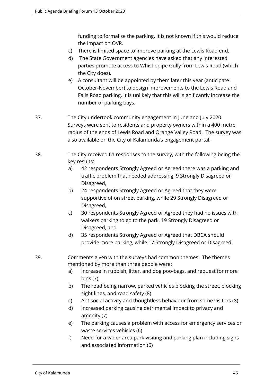funding to formalise the parking. It is not known if this would reduce the impact on OVR.

- c) There is limited space to improve parking at the Lewis Road end.
- d) The State Government agencies have asked that any interested parties promote access to Whistlepipe Gully from Lewis Road (which the City does).
- e) A consultant will be appointed by them later this year (anticipate October-November) to design improvements to the Lewis Road and Falls Road parking. It is unlikely that this will significantly increase the number of parking bays.
- 37. The City undertook community engagement in June and July 2020. Surveys were sent to residents and property owners within a 400 metre radius of the ends of Lewis Road and Orange Valley Road. The survey was also available on the City of Kalamunda's engagement portal.
- 38. The City received 61 responses to the survey, with the following being the key results:
	- a) 42 respondents Strongly Agreed or Agreed there was a parking and traffic problem that needed addressing, 9 Strongly Disagreed or Disagreed,
	- b) 24 respondents Strongly Agreed or Agreed that they were supportive of on street parking, while 29 Strongly Disagreed or Disagreed,
	- c) 30 respondents Strongly Agreed or Agreed they had no issues with walkers parking to go to the park, 19 Strongly Disagreed or Disagreed, and
	- d) 35 respondents Strongly Agreed or Agreed that DBCA should provide more parking, while 17 Strongly Disagreed or Disagreed.

# 39. Comments given with the surveys had common themes. The themes mentioned by more than three people were:

- a) Increase in rubbish, litter, and dog poo-bags, and request for more bins (7)
- b) The road being narrow, parked vehicles blocking the street, blocking sight lines, and road safety (8)
- c) Antisocial activity and thoughtless behaviour from some visitors (8)
- d) Increased parking causing detrimental impact to privacy and amenity (7)
- e) The parking causes a problem with access for emergency services or waste services vehicles (6)
- f) Need for a wider area park visiting and parking plan including signs and associated information (6)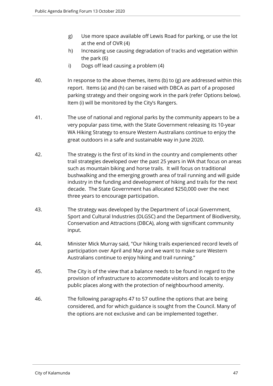- g) Use more space available off Lewis Road for parking, or use the lot at the end of OVR (4)
- h) Increasing use causing degradation of tracks and vegetation within the park (6)
- i) Dogs off lead causing a problem (4)
- 40. In response to the above themes, items (b) to (g) are addressed within this report. Items (a) and (h) can be raised with DBCA as part of a proposed parking strategy and their ongoing work in the park (refer Options below). Item (i) will be monitored by the City's Rangers.
- 41. The use of national and regional parks by the community appears to be a very popular pass time, with the State Government releasing its 10-year WA Hiking Strategy to ensure Western Australians continue to enjoy the great outdoors in a safe and sustainable way in June 2020.
- 42. The strategy is the first of its kind in the country and complements other trail strategies developed over the past 25 years in WA that focus on areas such as mountain biking and horse trails. It will focus on traditional bushwalking and the emerging growth area of trail running and will guide industry in the funding and development of hiking and trails for the next decade. The State Government has allocated \$250,000 over the next three years to encourage participation.
- 43. The strategy was developed by the Department of Local Government, Sport and Cultural Industries (DLGSC) and the Department of Biodiversity, Conservation and Attractions (DBCA), along with significant community input.
- 44. Minister Mick Murray said, "Our hiking trails experienced record levels of participation over April and May and we want to make sure Western Australians continue to enjoy hiking and trail running."
- 45. The City is of the view that a balance needs to be found in regard to the provision of infrastructure to accommodate visitors and locals to enjoy public places along with the protection of neighbourhood amenity.
- 46. The following paragraphs 47 to 57 outline the options that are being considered, and for which guidance is sought from the Council. Many of the options are not exclusive and can be implemented together.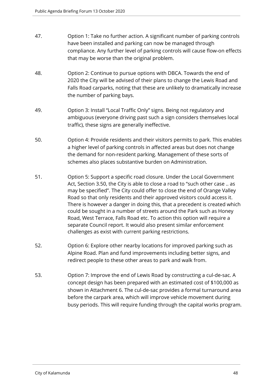| 47. | Option 1: Take no further action. A significant number of parking controls   |
|-----|------------------------------------------------------------------------------|
|     | have been installed and parking can now be managed through                   |
|     | compliance. Any further level of parking controls will cause flow-on effects |
|     | that may be worse than the original problem.                                 |

- 48. Option 2: Continue to pursue options with DBCA. Towards the end of 2020 the City will be advised of their plans to change the Lewis Road and Falls Road carparks, noting that these are unlikely to dramatically increase the number of parking bays.
- 49. Option 3: Install "Local Traffic Only" signs. Being not regulatory and ambiguous (everyone driving past such a sign considers themselves local traffic), these signs are generally ineffective.
- 50. Option 4: Provide residents and their visitors permits to park. This enables a higher level of parking controls in affected areas but does not change the demand for non-resident parking. Management of these sorts of schemes also places substantive burden on Administration.
- 51. Option 5: Support a specific road closure. Under the Local Government Act, Section 3.50, the City is able to close a road to "such other case .. as may be specified". The City could offer to close the end of Orange Valley Road so that only residents and their approved visitors could access it. There is however a danger in doing this, that a precedent is created which could be sought in a number of streets around the Park such as Honey Road, West Terrace, Falls Road etc. To action this option will require a separate Council report. It would also present similar enforcement challenges as exist with current parking restrictions.
- 52. Option 6: Explore other nearby locations for improved parking such as Alpine Road. Plan and fund improvements including better signs, and redirect people to these other areas to park and walk from.
- 53. Option 7: Improve the end of Lewis Road by constructing a cul-de-sac. A concept design has been prepared with an estimated cost of \$100,000 as shown in Attachment 6. The cul-de-sac provides a formal turnaround area before the carpark area, which will improve vehicle movement during busy periods. This will require funding through the capital works program.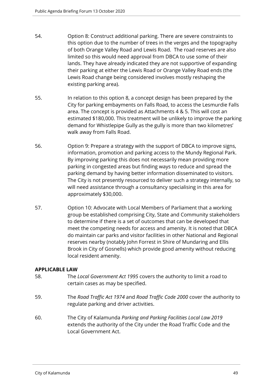- 54. Option 8: Construct additional parking. There are severe constraints to this option due to the number of trees in the verges and the topography of both Orange Valley Road and Lewis Road. The road reserves are also limited so this would need approval from DBCA to use some of their lands. They have already indicated they are not supportive of expanding their parking at either the Lewis Road or Orange Valley Road ends (the Lewis Road change being considered involves mostly reshaping the existing parking area).
- 55. In relation to this option 8, a concept design has been prepared by the City for parking embayments on Falls Road, to access the Lesmurdie Falls area. The concept is provided as Attachments 4 & 5. This will cost an estimated \$180,000. This treatment will be unlikely to improve the parking demand for Whistlepipe Gully as the gully is more than two kilometres' walk away from Falls Road.
- 56. Option 9: Prepare a strategy with the support of DBCA to improve signs, information, promotion and parking access to the Mundy Regional Park. By improving parking this does not necessarily mean providing more parking in congested areas but finding ways to reduce and spread the parking demand by having better information disseminated to visitors. The City is not presently resourced to deliver such a strategy internally, so will need assistance through a consultancy specialising in this area for approximately \$30,000.
- 57. Option 10: Advocate with Local Members of Parliament that a working group be established comprising City, State and Community stakeholders to determine if there is a set of outcomes that can be developed that meet the competing needs for access and amenity. It is noted that DBCA do maintain car parks and visitor facilities in other National and Regional reserves nearby (notably John Forrest in Shire of Mundaring and Ellis Brook in City of Gosnells) which provide good amenity without reducing local resident amenity.

## **APPLICABLE LAW**

- 58. The *Local Government Act 1995* covers the authority to limit a road to certain cases as may be specified.
- 59. The *Road Traffic Act 1974* and *Road Traffic Code 2000* cover the authority to regulate parking and driver activities.
- 60. The City of Kalamunda *Parking and Parking Facilities Local Law 2019* extends the authority of the City under the Road Traffic Code and the Local Government Act.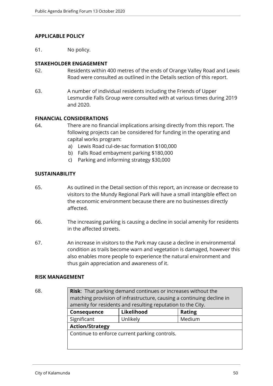## **APPLICABLE POLICY**

61. No policy.

## **STAKEHOLDER ENGAGEMENT**

- 62. Residents within 400 metres of the ends of Orange Valley Road and Lewis Road were consulted as outlined in the Details section of this report.
- 63. A number of individual residents including the Friends of Upper Lesmurdie Falls Group were consulted with at various times during 2019 and 2020.

# **FINANCIAL CONSIDERATIONS**

- 64. There are no financial implications arising directly from this report. The following projects can be considered for funding in the operating and capital works program:
	- a) Lewis Road cul-de-sac formation \$100,000
	- b) Falls Road embayment parking \$180,000
	- c) Parking and informing strategy \$30,000

## **SUSTAINABILITY**

- 65. As outlined in the Detail section of this report, an increase or decrease to visitors to the Mundy Regional Park will have a small intangible effect on the economic environment because there are no businesses directly affected.
- 66. The increasing parking is causing a decline in social amenity for residents in the affected streets.
- 67. An increase in visitors to the Park may cause a decline in environmental condition as trails become warn and vegetation is damaged, however this also enables more people to experience the natural environment and thus gain appreciation and awareness of it.

## **RISK MANAGEMENT**

| . .<br>۰<br>I<br>×<br>×<br>I<br>I<br>×<br>۰.<br>.,<br>۰. |  |
|----------------------------------------------------------|--|
|----------------------------------------------------------|--|

**Risk**: That parking demand continues or increases without the matching provision of infrastructure, causing a continuing decline in amenity for residents and resulting reputation to the City.

| Consequence                                   | Likelihood | Rating |
|-----------------------------------------------|------------|--------|
| Significant                                   | Unlikely   | Medium |
| <b>Action/Strategy</b>                        |            |        |
| Continue to enforce current parking controls. |            |        |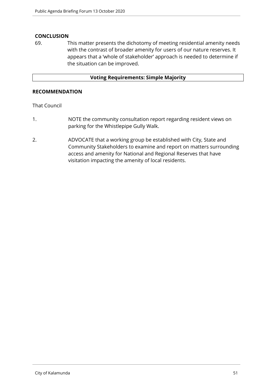## **CONCLUSION**

69. This matter presents the dichotomy of meeting residential amenity needs with the contrast of broader amenity for users of our nature reserves. It appears that a 'whole of stakeholder' approach is needed to determine if the situation can be improved.

## **Voting Requirements: Simple Majority**

## **RECOMMENDATION**

# That Council

- 1. NOTE the community consultation report regarding resident views on parking for the Whistlepipe Gully Walk.
- 2. ADVOCATE that a working group be established with City, State and Community Stakeholders to examine and report on matters surrounding access and amenity for National and Regional Reserves that have visitation impacting the amenity of local residents.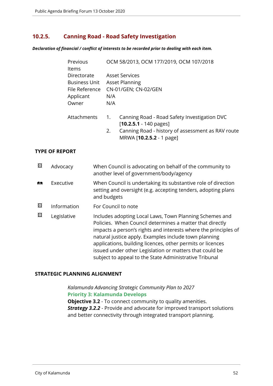# **10.2.5. Canning Road - Road Safety Investigation**

*Declaration of financial / conflict of interests to be recorded prior to dealing with each item.*

| Previous<br><b>Items</b>                                           | OCM 58/2013, OCM 177/2019, OCM 107/2018                                                                                                                                               |  |  |
|--------------------------------------------------------------------|---------------------------------------------------------------------------------------------------------------------------------------------------------------------------------------|--|--|
| Directorate<br><b>Business Unit</b><br>File Reference<br>Applicant | <b>Asset Services</b><br><b>Asset Planning</b><br>CN-01/GEN; CN-02/GEN<br>N/A                                                                                                         |  |  |
| Owner                                                              | N/A                                                                                                                                                                                   |  |  |
| Attachments                                                        | Canning Road - Road Safety Investigation DVC<br>1.<br>$[10.2.5.1 - 140 \text{ pages}]$<br>Canning Road - history of assessment as RAV route<br>2.<br>MRWA [ <b>10.2.5.2</b> - 1 page] |  |  |

## **TYPE OF REPORT**

| ⊠          | Advocacy    | When Council is advocating on behalf of the community to<br>another level of government/body/agency                                                                                                                                                                                                                                                                                                                                |
|------------|-------------|------------------------------------------------------------------------------------------------------------------------------------------------------------------------------------------------------------------------------------------------------------------------------------------------------------------------------------------------------------------------------------------------------------------------------------|
| <b>ASS</b> | Executive   | When Council is undertaking its substantive role of direction<br>setting and oversight (e.g. accepting tenders, adopting plans<br>and budgets                                                                                                                                                                                                                                                                                      |
| ⊠          | Information | For Council to note                                                                                                                                                                                                                                                                                                                                                                                                                |
| 図          | Legislative | Includes adopting Local Laws, Town Planning Schemes and<br>Policies. When Council determines a matter that directly<br>impacts a person's rights and interests where the principles of<br>natural justice apply. Examples include town planning<br>applications, building licences, other permits or licences<br>issued under other Legislation or matters that could be<br>subject to appeal to the State Administrative Tribunal |

## **STRATEGIC PLANNING ALIGNMENT**

*Kalamunda Advancing Strategic Community Plan to 2027* **Priority 3: Kalamunda Develops**

**Objective 3.2** - To connect community to quality amenities. *Strategy 3.2.2* - Provide and advocate for improved transport solutions and better connectivity through integrated transport planning.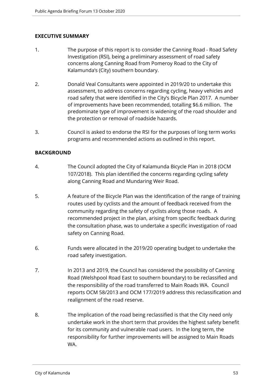# **EXECUTIVE SUMMARY**

- 1. The purpose of this report is to consider the Canning Road Road Safety Investigation (RSI), being a preliminary assessment of road safety concerns along Canning Road from Pomeroy Road to the City of Kalamunda's (City) southern boundary.
- 2. Donald Veal Consultants were appointed in 2019/20 to undertake this assessment, to address concerns regarding cycling, heavy vehicles and road safety that were identified in the City's Bicycle Plan 2017. A number of improvements have been recommended, totalling \$6.6 million. The predominate type of improvement is widening of the road shoulder and the protection or removal of roadside hazards.
- 3. Council is asked to endorse the RSI for the purposes of long term works programs and recommended actions as outlined in this report.

# **BACKGROUND**

- 4. The Council adopted the City of Kalamunda Bicycle Plan in 2018 (OCM 107/2018). This plan identified the concerns regarding cycling safety along Canning Road and Mundaring Weir Road.
- 5. A feature of the Bicycle Plan was the identification of the range of training routes used by cyclists and the amount of feedback received from the community regarding the safety of cyclists along those roads. A recommended project in the plan, arising from specific feedback during the consultation phase, was to undertake a specific investigation of road safety on Canning Road.
- 6. Funds were allocated in the 2019/20 operating budget to undertake the road safety investigation.
- 7. In 2013 and 2019, the Council has considered the possibility of Canning Road (Welshpool Road East to southern boundary) to be reclassified and the responsibility of the road transferred to Main Roads WA. Council reports OCM 58/2013 and OCM 177/2019 address this reclassification and realignment of the road reserve.
- 8. The implication of the road being reclassified is that the City need only undertake work in the short term that provides the highest safety benefit for its community and vulnerable road users. In the long term, the responsibility for further improvements will be assigned to Main Roads WA.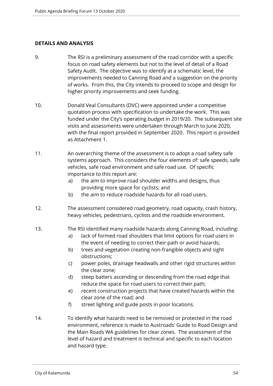## **DETAILS AND ANALYSIS**

- 9. The RSI is a preliminary assessment of the road corridor with a specific focus on road safety elements but not to the level of detail of a Road Safety Audit. The objective was to identify at a schematic level, the improvements needed to Canning Road and a suggestion on the priority of works. From this, the City intends to proceed to scope and design for higher priority improvements and seek funding.
- 10. Donald Veal Consultants (DVC) were appointed under a competitive quotation process with specification to undertake the work. This was funded under the City's operating budget in 2019/20. The subsequent site visits and assessments were undertaken through March to June 2020, with the final report provided in September 2020. This report is provided as Attachment 1.
- 11. An overarching theme of the assessment is to adopt a road safety safe systems approach. This considers the four elements of: safe speeds, safe vehicles, safe road environment and safe road use. Of specific importance to this report are:
	- a) the aim to improve road shoulder widths and designs, thus providing more space for cyclists; and
	- b) the aim to reduce roadside hazards for all road users.
- 12. The assessment considered road geometry, road capacity, crash history, heavy vehicles, pedestrians, cyclists and the roadside environment.
- 13. The RSI identified many roadside hazards along Canning Road, including:
	- a) lack of formed road shoulders that limit options for road users in the event of needing to correct their path or avoid hazards;
	- b) trees and vegetation creating non-frangible objects and sight obstructions;
	- c) power poles, drainage headwalls and other rigid structures within the clear zone;
	- d) steep batters ascending or descending from the road edge that reduce the space for road users to correct their path;
	- e) recent construction projects that have created hazards within the clear zone of the road; and
	- f) street lighting and guide posts in poor locations.
- 14. To identify what hazards need to be removed or protected in the road environment, reference is made to Austroads' Guide to Road Design and the Main Roads WA guidelines for clear zones. The assessment of the level of hazard and treatment is technical and specific to each location and hazard type.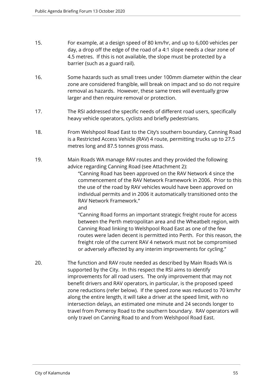- 15. For example, at a design speed of 80 km/hr, and up to 6,000 vehicles per day, a drop off the edge of the road of a 4:1 slope needs a clear zone of 4.5 metres. If this is not available, the slope must be protected by a barrier (such as a guard rail).
- 16. Some hazards such as small trees under 100mm diameter within the clear zone are considered frangible, will break on impact and so do not require removal as hazards. However, these same trees will eventually grow larger and then require removal or protection.
- 17. The RSI addressed the specific needs of different road users, specifically heavy vehicle operators, cyclists and briefly pedestrians.
- 18. From Welshpool Road East to the City's southern boundary, Canning Road is a Restricted Access Vehicle (RAV) 4 route, permitting trucks up to 27.5 metres long and 87.5 tonnes gross mass.
- 19. Main Roads WA manage RAV routes and they provided the following advice regarding Canning Road (see Attachment 2):

"Canning Road has been approved on the RAV Network 4 since the commencement of the RAV Network Framework in 2006. Prior to this the use of the road by RAV vehicles would have been approved on individual permits and in 2006 it automatically transitioned onto the RAV Network Framework."

and

"Canning Road forms an important strategic freight route for access between the Perth metropolitan area and the Wheatbelt region, with Canning Road linking to Welshpool Road East as one of the few routes were laden decent is permitted into Perth. For this reason, the freight role of the current RAV 4 network must not be compromised or adversely affected by any interim improvements for cycling."

20. The function and RAV route needed as described by Main Roads WA is supported by the City. In this respect the RSI aims to identify improvements for all road users. The only improvement that may not benefit drivers and RAV operators, in particular, is the proposed speed zone reductions (refer below). If the speed zone was reduced to 70 km/hr along the entire length, it will take a driver at the speed limit, with no intersection delays, an estimated one minute and 24 seconds longer to travel from Pomeroy Road to the southern boundary. RAV operators will only travel on Canning Road to and from Welshpool Road East.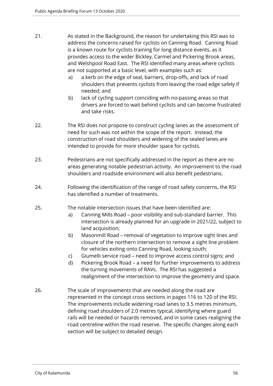- 21. As stated in the Background, the reason for undertaking this RSI was to address the concerns raised for cyclists on Canning Road. Canning Road is a known route for cyclists training for long distance events, as it provides access to the wider Bickley, Carmel and Pickering Brook areas, and Welshpool Road East. The RSI identified many areas where cyclists are not supported at a basic level, with examples such as:
	- a) a kerb on the edge of seal, barriers, drop-offs, and lack of road shoulders that prevents cyclists from leaving the road edge safely if needed; and
	- b) lack of cycling support coinciding with no-passing areas so that drivers are forced to wait behind cyclists and can become frustrated and take risks.
- 22. The RSI does not propose to construct cycling lanes as the assessment of need for such was not within the scope of the report. Instead, the construction of road shoulders and widening of the sealed lanes are intended to provide for more shoulder space for cyclists.
- 23. Pedestrians are not specifically addressed in the report as there are no areas generating notable pedestrian activity. An improvement to the road shoulders and roadside environment will also benefit pedestrians.
- 24. Following the identification of the range of road safety concerns, the RSI has identified a number of treatments.
- 25. The notable intersection issues that have been identified are:
	- a) Canning Mills Road poor visibility and sub-standard barrier. This intersection is already planned for an upgrade in 2021/22, subject to land acquisition;
	- b) Masonmill Road removal of vegetation to improve sight lines and closure of the northern intersection to remove a sight line problem for vehicles exiting onto Canning Road, looking south;
	- c) Giumelli service road need to improve access control signs; and
	- d) Pickering Brook Road a need for further improvements to address the turning movements of RAVs. The RSI has suggested a realignment of the intersection to improve the geometry and space.
- 26. The scale of improvements that are needed along the road are represented in the concept cross sections in pages 116 to 120 of the RSI. The improvements include widening road lanes to 3.5 metres minimum, defining road shoulders of 2.0 metres typical, identifying where guard rails will be needed or hazards removed, and in some cases realigning the road centreline within the road reserve. The specific changes along each section will be subject to detailed design.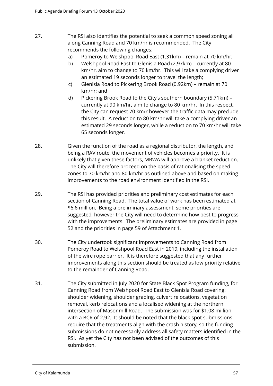- 27. The RSI also identifies the potential to seek a common speed zoning all along Canning Road and 70 km/hr is recommended. The City recommends the following changes:
	- a) Pomeroy to Welshpool Road East (1.31km) remain at 70 km/hr;
	- b) Welshpool Road East to Glenisla Road (2.97km) currently at 80 km/hr, aim to change to 70 km/hr. This will take a complying driver an estimated 19 seconds longer to travel the length;
	- c) Glenisla Road to Pickering Brook Road (0.92km) remain at 70 km/hr; and
	- d) Pickering Brook Road to the City's southern boundary (5.71km) currently at 90 km/hr, aim to change to 80 km/hr. In this respect, the City can request 70 km/r however the traffic data may preclude this result. A reduction to 80 km/hr will take a complying driver an estimated 29 seconds longer, while a reduction to 70 km/hr will take 65 seconds longer.
- 28. Given the function of the road as a regional distributor, the length, and being a RAV route, the movement of vehicles becomes a priority. It is unlikely that given these factors, MRWA will approve a blanket reduction. The City will therefore proceed on the basis of rationalising the speed zones to 70 km/hr and 80 km/hr as outlined above and based on making improvements to the road environment identified in the RSI.
- 29. The RSI has provided priorities and preliminary cost estimates for each section of Canning Road. The total value of work has been estimated at \$6.6 million. Being a preliminary assessment, some priorities are suggested, however the City will need to determine how best to progress with the improvements. The preliminary estimates are provided in page 52 and the priorities in page 59 of Attachment 1.
- 30. The City undertook significant improvements to Canning Road from Pomeroy Road to Welshpool Road East in 2019, including the installation of the wire rope barrier. It is therefore suggested that any further improvements along this section should be treated as low priority relative to the remainder of Canning Road.
- 31. The City submitted in July 2020 for State Black Spot Program funding, for Canning Road from Welshpool Road East to Glenisla Road covering: shoulder widening, shoulder grading, culvert relocations, vegetation removal, kerb relocations and a localised widening at the northern intersection of Masonmill Road. The submission was for \$1.08 million with a BCR of 2.92. It should be noted that the black spot submissions require that the treatments align with the crash history, so the funding submissions do not necessarily address all safety matters identified in the RSI. As yet the City has not been advised of the outcomes of this submission.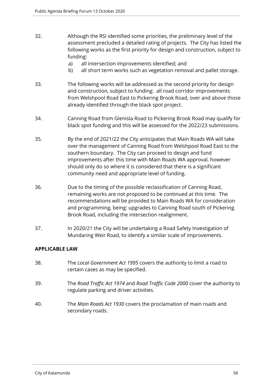- 32. Although the RSI identified some priorities, the preliminary level of the assessment precluded a detailed rating of projects. The City has listed the following works as the first priority for design and construction, subject to funding:
	- a) all intersection improvements identified; and
	- b) all short term works such as vegetation removal and pallet storage.
- 33. The following works will be addressed as the second priority for design and construction, subject to funding: all road corridor improvements from Welshpool Road East to Pickering Brook Road, over and above those already identified through the black spot project.
- 34. Canning Road from Glenisla Road to Pickering Brook Road may qualify for black spot funding and this will be assessed for the 2022/23 submissions.
- 35. By the end of 2021/22 the City anticipates that Main Roads WA will take over the management of Canning Road from Welshpool Road East to the southern boundary. The City can proceed to design and fund improvements after this time with Main Roads WA approval, however should only do so where it is considered that there is a significant community need and appropriate level of funding.
- 36. Due to the timing of the possible reclassification of Canning Road, remaining works are not proposed to be continued at this time. The recommendations will be provided to Main Roads WA for consideration and programming, being: upgrades to Canning Road south of Pickering Brook Road, including the intersection realignment.
- 37. In 2020/21 the City will be undertaking a Road Safety Investigation of Mundaring Weir Road, to identify a similar scale of improvements.

## **APPLICABLE LAW**

- 38. The *Local Government Act 1995* covers the authority to limit a road to certain cases as may be specified.
- 39. The *Road Traffic Act 1974* and *Road Traffic Code 2000* cover the authority to regulate parking and driver activities.
- 40. The *Main Roads Act 1930* covers the proclamation of main roads and secondary roads.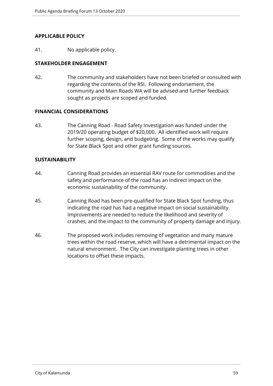## **APPLICABLE POLICY**

41. No applicable policy.

# **STAKEHOLDER ENGAGEMENT**

42. The community and stakeholders have not been briefed or consulted with regarding the contents of the RSI. Following endorsement, the community and Main Roads WA will be advised and further feedback sought as projects are scoped and funded.

## **FINANCIAL CONSIDERATIONS**

43. The Canning Road - Road Safety Investigation was funded under the 2019/20 operating budget of \$20,000. All identified work will require further scoping, design, and budgeting. Some of the works may qualify for State Black Spot and other grant funding sources.

## **SUSTAINABILITY**

- 44. Canning Road provides an essential RAV route for commodities and the safety and performance of the road has an indirect impact on the economic sustainability of the community.
- 45. Canning Road has been pre-qualified for State Black Spot funding, thus indicating the road has had a negative impact on social sustainability. Improvements are needed to reduce the likelihood and severity of crashes, and the impact to the community of property damage and injury.
- 46. The proposed work includes removing of vegetation and many mature trees within the road reserve, which will have a detrimental impact on the natural environment. The City can investigate planting trees in other locations to offset these impacts.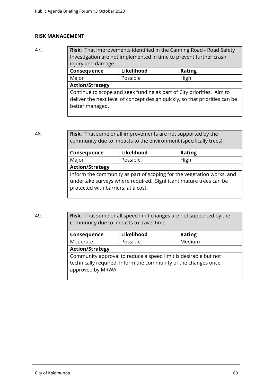## **RISK MANAGEMENT**

47. **Risk:** That improvements identified in the Canning Road - Road Safety Investigation are not implemented in time to prevent further crash injury and damage. **Consequence Likelihood Rating**

| Major                                                                                                                                                                   | Possible | High |
|-------------------------------------------------------------------------------------------------------------------------------------------------------------------------|----------|------|
| <b>Action/Strategy</b>                                                                                                                                                  |          |      |
| Continue to scope and seek funding as part of City priorities. Aim to<br>deliver the next level of concept design quickly, so that priorities can be<br>better managed. |          |      |

48. **Risk**: That some or all improvements are not supported by the community due to impacts to the environment (specifically trees).

| Consequence                         | Likelihood                                                                                                                                 | <b>Rating</b> |
|-------------------------------------|--------------------------------------------------------------------------------------------------------------------------------------------|---------------|
| Major                               | Possible                                                                                                                                   | High          |
| <b>Action/Strategy</b>              |                                                                                                                                            |               |
| protected with barriers, at a cost. | Inform the community as part of scoping for the vegetation works, and<br>undertake surveys where required. Significant mature trees can be |               |

49. **Risk**: That some or all speed limit changes are not supported by the community due to impacts to travel time.

| Consequence            | Likelihood                                                                                                                        | <b>Rating</b> |
|------------------------|-----------------------------------------------------------------------------------------------------------------------------------|---------------|
| Moderate               | Possible                                                                                                                          | Medium        |
| <b>Action/Strategy</b> |                                                                                                                                   |               |
| approved by MRWA.      | Community approval to reduce a speed limit is desirable but not<br>technically required. Inform the community of the changes once |               |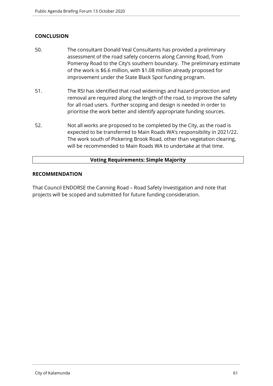# **CONCLUSION**

- 50. The consultant Donald Veal Consultants has provided a preliminary assessment of the road safety concerns along Canning Road, from Pomeroy Road to the City's southern boundary. The preliminary estimate of the work is \$6.6 million, with \$1.08 million already proposed for improvement under the State Black Spot funding program.
- 51. The RSI has identified that road widenings and hazard protection and removal are required along the length of the road, to improve the safety for all road users. Further scoping and design is needed in order to prioritise the work better and identify appropriate funding sources.
- 52. Not all works are proposed to be completed by the City, as the road is expected to be transferred to Main Roads WA's responsibility in 2021/22. The work south of Pickering Brook Road, other than vegetation clearing, will be recommended to Main Roads WA to undertake at that time.

## **Voting Requirements: Simple Majority**

## **RECOMMENDATION**

That Council ENDORSE the Canning Road – Road Safety Investigation and note that projects will be scoped and submitted for future funding consideration.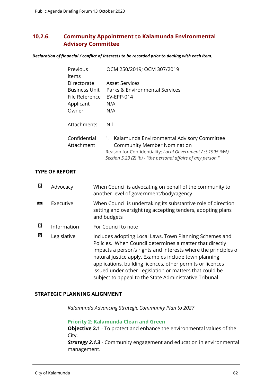# **10.2.6. Community Appointment to Kalamunda Environmental Advisory Committee**

*Declaration of financial / conflict of interests to be recorded prior to dealing with each item.*

| Previous<br>ltems                                                           | OCM 250/2019; OCM 307/2019                                                                                                                                                                                        |
|-----------------------------------------------------------------------------|-------------------------------------------------------------------------------------------------------------------------------------------------------------------------------------------------------------------|
| Directorate<br><b>Business Unit</b><br>File Reference<br>Applicant<br>Owner | <b>Asset Services</b><br>Parks & Environmental Services<br><b>EV-EPP-014</b><br>N/A<br>N/A                                                                                                                        |
| Attachments                                                                 | Nil                                                                                                                                                                                                               |
| Confidential<br>Attachment                                                  | 1. Kalamunda Environmental Advisory Committee<br><b>Community Member Nomination</b><br>Reason for Confidentiality: Local Government Act 1995 (WA)<br>Section 5.23 (2) (b) - "the personal affairs of any person." |

## **TYPE OF REPORT**

| 図          | Advocacy    | When Council is advocating on behalf of the community to<br>another level of government/body/agency                                                                                                                                                                                                                                                                                                                                |
|------------|-------------|------------------------------------------------------------------------------------------------------------------------------------------------------------------------------------------------------------------------------------------------------------------------------------------------------------------------------------------------------------------------------------------------------------------------------------|
| <b>ASS</b> | Executive   | When Council is undertaking its substantive role of direction<br>setting and oversight (eg accepting tenders, adopting plans<br>and budgets                                                                                                                                                                                                                                                                                        |
| 図          | Information | For Council to note                                                                                                                                                                                                                                                                                                                                                                                                                |
| ⊠          | Legislative | Includes adopting Local Laws, Town Planning Schemes and<br>Policies. When Council determines a matter that directly<br>impacts a person's rights and interests where the principles of<br>natural justice apply. Examples include town planning<br>applications, building licences, other permits or licences<br>issued under other Legislation or matters that could be<br>subject to appeal to the State Administrative Tribunal |

## **STRATEGIC PLANNING ALIGNMENT**

*Kalamunda Advancing Strategic Community Plan to 2027*

**Priority 2: Kalamunda Clean and Green**

**Objective 2.1** - To protect and enhance the environmental values of the City.

*Strategy 2.1.3* - Community engagement and education in environmental management.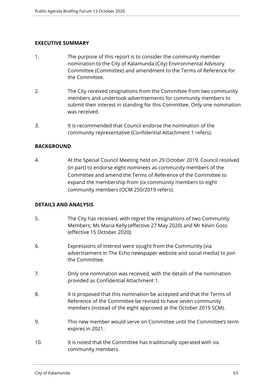# **EXECUTIVE SUMMARY**

- 1. The purpose of this report is to consider the community member nomination to the City of Kalamunda (City) Environmental Advisory Committee (Committee) and amendment to the Terms of Reference for the Committee.
- 2. The City received resignations from the Committee from two community members and undertook advertisements for community members to submit their interest in standing for this Committee. Only one nomination was received.
- 3. It is recommended that Council endorse the nomination of the community representative (Confidential Attachment 1 refers).

## **BACKGROUND**

4. At the Special Council Meeting held on 29 October 2019, Council resolved (in part) to endorse eight nominees as community members of the Committee and amend the Terms of Reference of the Committee to expand the membership from six community members to eight community members (OCM 250/2019 refers).

## **DETAILS AND ANALYSIS**

- 5. The City has received, with regret the resignations of two Community Members; Ms Maria Kelly (effective 27 May 2020) and Mr Kevin Goss (effective 15 October 2020).
- 6. Expressions of Interest were sought from the Community (via advertisement in The Echo newspaper website and social media) to join the Committee.
- 7. Only one nomination was received, with the details of the nomination provided as Confidential Attachment 1.
- 8. It is proposed that this nomination be accepted and that the Terms of Reference of the Committee be revised to have seven community members (instead of the eight approved at the October 2019 SCM).
- 9. This new member would serve on Committee until the Committee's term expires in 2021.
- 10. It is noted that the Committee has traditionally operated with six community members.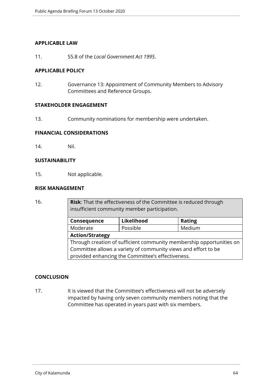## **APPLICABLE LAW**

11. S5.8 of the *Local Government Act 1995*.

## **APPLICABLE POLICY**

12. Governance 13: Appointment of Community Members to Advisory Committees and Reference Groups.

## **STAKEHOLDER ENGAGEMENT**

13. Community nominations for membership were undertaken.

## **FINANCIAL CONSIDERATIONS**

14. Nil.

## **SUSTAINABILITY**

15. Not applicable.

## **RISK MANAGEMENT**

16. **Risk**: That the effectiveness of the Committee is reduced through insufficient community member participation. **Consequence Likelihood Rating** Moderate | Possible | Medium **Action/Strategy** Through creation of sufficient community membership opportunities on Committee allows a variety of community views and effort to be provided enhancing the Committee's effectiveness.

## **CONCLUSION**

17. It is viewed that the Committee's effectiveness will not be adversely impacted by having only seven community members noting that the Committee has operated in years past with six members.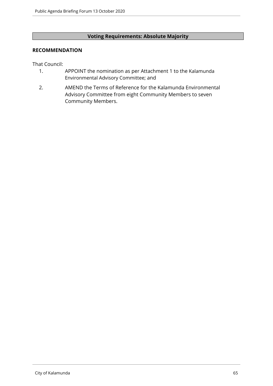# **Voting Requirements: Absolute Majority**

## **RECOMMENDATION**

That Council:

- 1. APPOINT the nomination as per Attachment 1 to the Kalamunda Environmental Advisory Committee; and
- 2. AMEND the Terms of Reference for the Kalamunda Environmental Advisory Committee from eight Community Members to seven Community Members.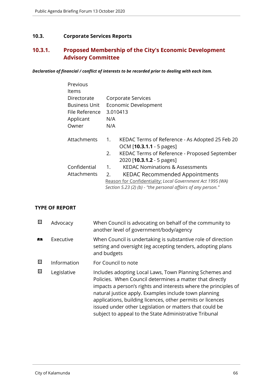# **10.3. Corporate Services Reports**

# **10.3.1. Proposed Membership of the City's Economic Development Advisory Committee**

*Declaration of financial / conflict of interests to be recorded prior to dealing with each item.*

| Previous             |                                                              |  |  |
|----------------------|--------------------------------------------------------------|--|--|
| ltems                |                                                              |  |  |
| Directorate          | Corporate Services                                           |  |  |
| <b>Business Unit</b> | Economic Development                                         |  |  |
| File Reference       | 3.010413                                                     |  |  |
| Applicant            | N/A                                                          |  |  |
| Owner                | N/A                                                          |  |  |
|                      |                                                              |  |  |
| Attachments          | KEDAC Terms of Reference - As Adopted 25 Feb 20<br>1.        |  |  |
|                      | OCM [10.3.1.1 - 5 pages]                                     |  |  |
|                      | 2.<br>KEDAC Terms of Reference - Proposed September          |  |  |
|                      | 2020 [ <b>10.3.1.2</b> - 5 pages]                            |  |  |
| Confidential         | <b>KEDAC Nominations &amp; Assessments</b><br>1 <sub>1</sub> |  |  |
| Attachments          | <b>KEDAC Recommended Appointments</b><br>2.                  |  |  |
|                      | Reason for Confidentiality: Local Government Act 1995 (WA)   |  |  |
|                      | Section 5.23 (2) (b) - "the personal affairs of any person." |  |  |

## **TYPE OF REPORT**

| 図 | Advocacy    | When Council is advocating on behalf of the community to<br>another level of government/body/agency                                                                                                                                                                                                                                                                                                                                |
|---|-------------|------------------------------------------------------------------------------------------------------------------------------------------------------------------------------------------------------------------------------------------------------------------------------------------------------------------------------------------------------------------------------------------------------------------------------------|
| 產 | Executive   | When Council is undertaking is substantive role of direction<br>setting and oversight (eg accepting tenders, adopting plans<br>and budgets                                                                                                                                                                                                                                                                                         |
| 図 | Information | For Council to note                                                                                                                                                                                                                                                                                                                                                                                                                |
| 図 | Legislative | Includes adopting Local Laws, Town Planning Schemes and<br>Policies. When Council determines a matter that directly<br>impacts a person's rights and interests where the principles of<br>natural justice apply. Examples include town planning<br>applications, building licences, other permits or licences<br>issued under other Legislation or matters that could be<br>subject to appeal to the State Administrative Tribunal |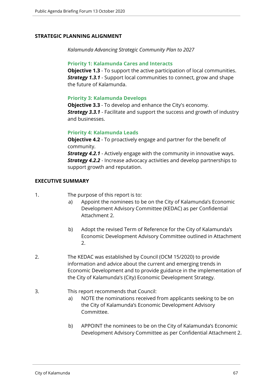## **STRATEGIC PLANNING ALIGNMENT**

*Kalamunda Advancing Strategic Community Plan to 2027*

## **Priority 1: Kalamunda Cares and Interacts**

**Objective 1.3** - To support the active participation of local communities. *Strategy 1.3.1* - Support local communities to connect, grow and shape the future of Kalamunda.

## **Priority 3: Kalamunda Develops**

**Objective 3.3** - To develop and enhance the City's economy. *Strategy 3.3.1* - Facilitate and support the success and growth of industry and businesses.

## **Priority 4: Kalamunda Leads**

**Objective 4.2** - To proactively engage and partner for the benefit of community. *Strategy 4.2.1* - Actively engage with the community in innovative ways. *Strategy 4.2.2* - Increase advocacy activities and develop partnerships to support growth and reputation.

## **EXECUTIVE SUMMARY**

- 1. The purpose of this report is to:
	- a) Appoint the nominees to be on the City of Kalamunda's Economic Development Advisory Committee (KEDAC) as per Confidential Attachment 2.
	- b) Adopt the revised Term of Reference for the City of Kalamunda's Economic Development Advisory Committee outlined in Attachment 2.
- 2. The KEDAC was established by Council (OCM 15/2020) to provide information and advice about the current and emerging trends in Economic Development and to provide guidance in the implementation of the City of Kalamunda's (City) Economic Development Strategy.
- 3. This report recommends that Council:
	- a) NOTE the nominations received from applicants seeking to be on the City of Kalamunda's Economic Development Advisory Committee.
	- b) APPOINT the nominees to be on the City of Kalamunda's Economic Development Advisory Committee as per Confidential Attachment 2.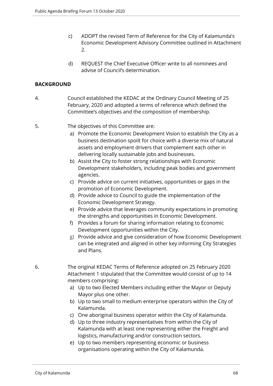- c) ADOPT the revised Term of Reference for the City of Kalamunda's Economic Development Advisory Committee outlined in Attachment 2.
- d) REQUEST the Chief Executive Officer write to all nominees and advise of Council's determination.

## **BACKGROUND**

- 4. Council established the KEDAC at the Ordinary Council Meeting of 25 February, 2020 and adopted a terms of reference which defined the Committee's objectives and the composition of membership.
- 5. The objectives of this Committee are:
	- a) Promote the Economic Development Vision to establish the City as a business destination spoilt for choice with a diverse mix of natural assets and employment drivers that complement each other in delivering locally sustainable jobs and businesses.
	- b) Assist the City to foster strong relationships with Economic Development stakeholders, including peak bodies and government agencies.
	- c) Provide advice on current initiatives, opportunities or gaps in the promotion of Economic Development.
	- d) Provide advice to Council to guide the implementation of the Economic Development Strategy.
	- e) Provide advice that leverages community expectations in promoting the strengths and opportunities in Economic Development.
	- f) Provides a forum for sharing information relating to Economic Development opportunities within the City.
	- g) Provide advice and give consideration of how Economic Development can be integrated and aligned in other key informing City Strategies and Plans.
- 6. The original KEDAC Terms of Reference adopted on 25 February 2020 Attachment 1 stipulated that the Committee would consist of up to 14 members comprising:
	- a) Up to two Elected Members including either the Mayor or Deputy Mayor plus one other.
	- b) Up to two small to medium enterprise operators within the City of Kalamunda.
	- c) One aboriginal business operator within the City of Kalamunda.
	- d) Up to three industry representatives from within the City of Kalamunda with at least one representing either the Freight and logistics, manufacturing and/or construction sectors.
	- e) Up to two members representing economic or business organisations operating within the City of Kalamunda.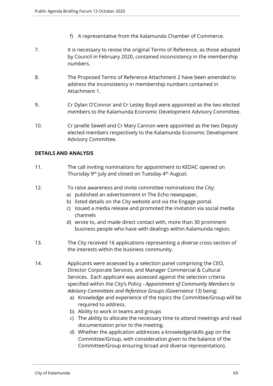- f) A representative from the Kalamunda Chamber of Commerce.
- 7. It is necessary to revise the original Terms of Reference, as those adopted by Council in February 2020, contained inconsistency in the membership numbers.
- 8. The Proposed Terms of Reference Attachment 2 have been amended to address the inconsistency in membership numbers contained in Attachment 1.
- 9. Cr Dylan O'Connor and Cr Lesley Boyd were appointed as the two elected members to the Kalamunda Economic Development Advisory Committee.
- 10. Cr Janelle Sewell and Cr Mary Cannon were appointed as the two Deputy elected members respectively to the Kalamunda Economic Development Advisory Committee.

## **DETAILS AND ANALYSIS**

- 11. The call inviting nominations for appointment to KEDAC opened on Thursday 9<sup>th</sup> July and closed on Tuesday 4<sup>th</sup> August.
- 12. To raise awareness and invite committee nominations the City:
	- a) published an advertisement in The Echo newspaper,
	- b) listed details on the City website and via the Engage portal.
	- c) issued a media release and promoted the invitation via social media channels
	- d) wrote to, and made direct contact with, more than 30 prominent business people who have with dealings within Kalamunda region.
- 13. The City received 16 applications representing a diverse cross-section of the interests within the business community.
- 14. Applicants were assessed by a selection panel comprising the CEO, Director Corporate Services, and Manager Commercial & Cultural Services. Each applicant was assessed against the selection criteria specified within the City's Policy - *Appointment of Community Members to Advisory Committees and Reference Groups (Governance 13)* being:
	- a) Knowledge and experience of the topics the Committee/Group will be required to address.
	- b) Ability to work in teams and groups
	- c) The ability to allocate the necessary time to attend meetings and read documentation prior to the meeting.
	- d) Whether the application addresses a knowledge/skills gap on the Committee/Group, with consideration given to the balance of the Committee/Group ensuring broad and diverse representation).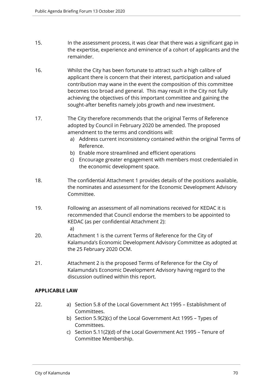- 15. In the assessment process, it was clear that there was a significant gap in the expertise, experience and eminence of a cohort of applicants and the remainder.
- 16. Whilst the City has been fortunate to attract such a high calibre of applicant there is concern that their interest, participation and valued contribution may wane in the event the composition of this committee becomes too broad and general. This may result in the City not fully achieving the objectives of this important committee and gaining the sought-after benefits namely jobs growth and new investment.
- 17. The City therefore recommends that the original Terms of Reference adopted by Council in February 2020 be amended. The proposed amendment to the terms and conditions will:
	- a) Address current inconsistency contained within the original Terms of Reference.
	- b) Enable more streamlined and efficient operations
	- c) Encourage greater engagement with members most credentialed in the economic development space.
- 18. The confidential Attachment 1 provides details of the positions available, the nominates and assessment for the Economic Development Advisory Committee.
- 19. Following an assessment of all nominations received for KEDAC it is recommended that Council endorse the members to be appointed to KEDAC (as per confidential Attachment 2): a)
- 20. Attachment 1 is the current Terms of Reference for the City of Kalamunda's Economic Development Advisory Committee as adopted at the 25 February 2020 OCM.
- 21. Attachment 2 is the proposed Terms of Reference for the City of Kalamunda's Economic Development Advisory having regard to the discussion outlined within this report.

# **APPLICABLE LAW**

- 
- 22. a) Section 5.8 of the Local Government Act 1995 Establishment of Committees.
	- b) Section 5.9(2)(c) of the Local Government Act 1995 Types of Committees.
	- c) Section 5.11(2)(d) of the Local Government Act 1995 Tenure of Committee Membership.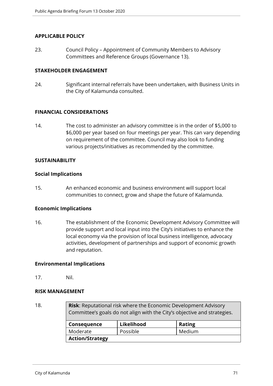## **APPLICABLE POLICY**

23. Council Policy – Appointment of Community Members to Advisory Committees and Reference Groups (Governance 13).

## **STAKEHOLDER ENGAGEMENT**

24. Significant internal referrals have been undertaken, with Business Units in the City of Kalamunda consulted.

## **FINANCIAL CONSIDERATIONS**

14. The cost to administer an advisory committee is in the order of \$5,000 to \$6,000 per year based on four meetings per year. This can vary depending on requirement of the committee. Council may also look to funding various projects/initiatives as recommended by the committee.

## **SUSTAINABILITY**

## **Social Implications**

15. An enhanced economic and business environment will support local communities to connect, grow and shape the future of Kalamunda.

## **Economic Implications**

16. The establishment of the Economic Development Advisory Committee will provide support and local input into the City's initiatives to enhance the local economy via the provision of local business intelligence, advocacy activities, development of partnerships and support of economic growth and reputation.

## **Environmental Implications**

17. Nil.

## **RISK MANAGEMENT**

18. **Risk**: Reputational risk where the Economic Development Advisory Committee's goals do not align with the City's objective and strategies. **Consequence** Likelihood | Rating Moderate | Possible | Medium **Action/Strategy**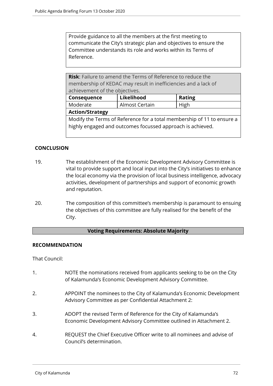Provide guidance to all the members at the first meeting to communicate the City's strategic plan and objectives to ensure the Committee understands its role and works within its Terms of Reference.

**Risk**: Failure to amend the Terms of Reference to reduce the membership of KEDAC may result in inefficiencies and a lack of achievement of the objectives.

| Consequence                                                            | Likelihood     | <b>Rating</b> |  |  |  |
|------------------------------------------------------------------------|----------------|---------------|--|--|--|
| Moderate                                                               | Almost Certain | High          |  |  |  |
| <b>Action/Strategy</b>                                                 |                |               |  |  |  |
| Modify the Terms of Reference for a total membership of 11 to ensure a |                |               |  |  |  |
| highly engaged and outcomes focussed approach is achieved.             |                |               |  |  |  |

# **CONCLUSION**

- 19. The establishment of the Economic Development Advisory Committee is vital to provide support and local input into the City's initiatives to enhance the local economy via the provision of local business intelligence, advocacy activities, development of partnerships and support of economic growth and reputation.
- 20. The composition of this committee's membership is paramount to ensuing the objectives of this committee are fully realised for the benefit of the City.

## **Voting Requirements: Absolute Majority**

## **RECOMMENDATION**

That Council:

- 1. NOTE the nominations received from applicants seeking to be on the City of Kalamunda's Economic Development Advisory Committee. 2. APPOINT the nominees to the City of Kalamunda's Economic Development Advisory Committee as per Confidential Attachment 2: 3. ADOPT the revised Term of Reference for the City of Kalamunda's Economic Development Advisory Committee outlined in Attachment 2.
- 4. REQUEST the Chief Executive Officer write to all nominees and advise of Council's determination.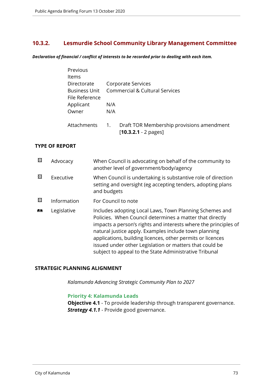# **10.3.2. Lesmurdie School Community Library Management Committee**

*Declaration of financial / conflict of interests to be recorded prior to dealing with each item.*

| Previous       |                  |                                                                     |
|----------------|------------------|---------------------------------------------------------------------|
| Items          |                  |                                                                     |
| Directorate    |                  | Corporate Services                                                  |
| Business Unit  |                  | <b>Commercial &amp; Cultural Services</b>                           |
| File Reference |                  |                                                                     |
| Applicant      | N/A              |                                                                     |
| Owner          | N/A              |                                                                     |
| Attachments    | $\overline{1}$ . | Draft TOR Membership provisions amendment<br>$[10.3.2.1 - 2$ pages] |

#### **TYPE OF REPORT**

| ⊠          | Advocacy    | When Council is advocating on behalf of the community to<br>another level of government/body/agency                                                                                                                                                                                                                                                                                                                                |
|------------|-------------|------------------------------------------------------------------------------------------------------------------------------------------------------------------------------------------------------------------------------------------------------------------------------------------------------------------------------------------------------------------------------------------------------------------------------------|
| ⊠          | Executive   | When Council is undertaking is substantive role of direction<br>setting and oversight (eg accepting tenders, adopting plans<br>and budgets                                                                                                                                                                                                                                                                                         |
| ⊠          | Information | For Council to note                                                                                                                                                                                                                                                                                                                                                                                                                |
| <b>RAS</b> | Legislative | Includes adopting Local Laws, Town Planning Schemes and<br>Policies. When Council determines a matter that directly<br>impacts a person's rights and interests where the principles of<br>natural justice apply. Examples include town planning<br>applications, building licences, other permits or licences<br>issued under other Legislation or matters that could be<br>subject to appeal to the State Administrative Tribunal |

## **STRATEGIC PLANNING ALIGNMENT**

*Kalamunda Advancing Strategic Community Plan to 2027*

#### **Priority 4: Kalamunda Leads**

**Objective 4.1** - To provide leadership through transparent governance. **Strategy 4.1.1** - Provide good governance.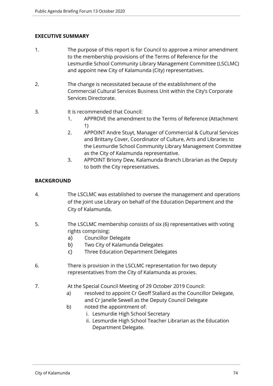## **EXECUTIVE SUMMARY**

- 1. The purpose of this report is for Council to approve a minor amendment to the membership provisions of the Terms of Reference for the Lesmurdie School Community Library Management Committee (LSCLMC) and appoint new City of Kalamunda (City) representatives.
- 2. The change is necessitated because of the establishment of the Commercial Cultural Services Business Unit within the City's Corporate Services Directorate.
- 3. It is recommended that Council:
	- 1. APPROVE the amendment to the Terms of Reference (Attachment 1)
	- 2. APPOINT Andre Stuyt, Manager of Commercial & Cultural Services and Brittany Cover, Coordinator of Culture, Arts and Libraries to the Lesmurdie School Community Library Management Committee as the City of Kalamunda representative.
	- 3. APPOINT Briony Dew, Kalamunda Branch Librarian as the Deputy to both the City representatives.

## **BACKGROUND**

- 4. The LSCLMC was established to oversee the management and operations of the joint use Library on behalf of the Education Department and the City of Kalamunda.
- 5. The LSCLMC membership consists of six (6) representatives with voting rights comprising:
	- a) Councillor Delegate
	- b) Two City of Kalamunda Delegates
	- c) Three Education Department Delegates
- 6. There is provision in the LSCLMC representation for two deputy representatives from the City of Kalamunda as proxies.
- 7. At the Special Council Meeting of 29 October 2019 Council:
	- a) resolved to appoint Cr Geoff Stallard as the Councillor Delegate, and Cr Janelle Sewell as the Deputy Council Delegate
	- b) noted the appointment of:
		- i. Lesmurdie High School Secretary
		- ii. Lesmurdie High School Teacher Librarian as the Education Department Delegate.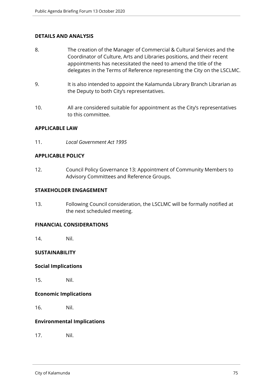## **DETAILS AND ANALYSIS**

- 8. The creation of the Manager of Commercial & Cultural Services and the Coordinator of Culture, Arts and Libraries positions, and their recent appointments has necessitated the need to amend the title of the delegates in the Terms of Reference representing the City on the LSCLMC.
- 9. It is also intended to appoint the Kalamunda Library Branch Librarian as the Deputy to both City's representatives.
- 10. All are considered suitable for appointment as the City's representatives to this committee.

#### **APPLICABLE LAW**

11. *Local Government Act 1995*

#### **APPLICABLE POLICY**

12. Council Policy Governance 13: Appointment of Community Members to Advisory Committees and Reference Groups.

#### **STAKEHOLDER ENGAGEMENT**

13. Following Council consideration, the LSCLMC will be formally notified at the next scheduled meeting.

#### **FINANCIAL CONSIDERATIONS**

14. Nil.

#### **SUSTAINABILITY**

#### **Social Implications**

15. Nil.

## **Economic Implications**

16. Nil.

## **Environmental Implications**

17. Nil.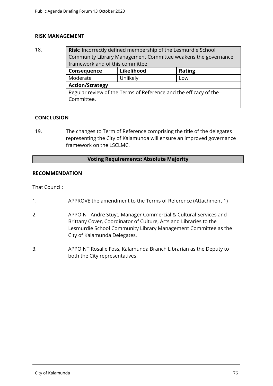#### **RISK MANAGEMENT**

18. **Risk**: Incorrectly defined membership of the Lesmurdie School Community Library Management Committee weakens the governance framework and of this committee **Consequence Likelihood Rating**

| Moderate                                                         | Unlikely | Low |  |  |
|------------------------------------------------------------------|----------|-----|--|--|
| <b>Action/Strategy</b>                                           |          |     |  |  |
| Regular review of the Terms of Reference and the efficacy of the |          |     |  |  |
| Committee.                                                       |          |     |  |  |

## **CONCLUSION**

19. The changes to Term of Reference comprising the title of the delegates representing the City of Kalamunda will ensure an improved governance framework on the LSCLMC.

### **Voting Requirements: Absolute Majority**

## **RECOMMENDATION**

That Council:

- 1. APPROVE the amendment to the Terms of Reference (Attachment 1)
- 2. APPOINT Andre Stuyt, Manager Commercial & Cultural Services and Brittany Cover, Coordinator of Culture, Arts and Libraries to the Lesmurdie School Community Library Management Committee as the City of Kalamunda Delegates.
- 3. APPOINT Rosalie Foss, Kalamunda Branch Librarian as the Deputy to both the City representatives.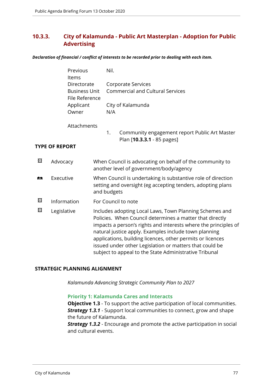# **10.3.3. City of Kalamunda - Public Art Masterplan - Adoption for Public Advertising**

*Declaration of financial / conflict of interests to be recorded prior to dealing with each item.*

|   | Previous<br>Items                      | Nil.                                                                                                                                                                                                                                                                                                                                                                                                                               |
|---|----------------------------------------|------------------------------------------------------------------------------------------------------------------------------------------------------------------------------------------------------------------------------------------------------------------------------------------------------------------------------------------------------------------------------------------------------------------------------------|
|   | Directorate                            | <b>Corporate Services</b>                                                                                                                                                                                                                                                                                                                                                                                                          |
|   | <b>Business Unit</b><br>File Reference | <b>Commercial and Cultural Services</b>                                                                                                                                                                                                                                                                                                                                                                                            |
|   | Applicant                              | City of Kalamunda                                                                                                                                                                                                                                                                                                                                                                                                                  |
|   | Owner                                  | N/A                                                                                                                                                                                                                                                                                                                                                                                                                                |
|   | Attachments                            |                                                                                                                                                                                                                                                                                                                                                                                                                                    |
|   |                                        | 1.<br>Community engagement report Public Art Master<br>Plan [10.3.3.1 - 85 pages]                                                                                                                                                                                                                                                                                                                                                  |
|   | <b>TYPE OF REPORT</b>                  |                                                                                                                                                                                                                                                                                                                                                                                                                                    |
| 図 |                                        |                                                                                                                                                                                                                                                                                                                                                                                                                                    |
|   | Advocacy                               | When Council is advocating on behalf of the community to<br>another level of government/body/agency                                                                                                                                                                                                                                                                                                                                |
| m | Executive                              | When Council is undertaking is substantive role of direction<br>setting and oversight (eg accepting tenders, adopting plans<br>and budgets                                                                                                                                                                                                                                                                                         |
| 図 | Information                            | For Council to note                                                                                                                                                                                                                                                                                                                                                                                                                |
| 図 | Legislative                            | Includes adopting Local Laws, Town Planning Schemes and<br>Policies. When Council determines a matter that directly<br>impacts a person's rights and interests where the principles of<br>natural justice apply. Examples include town planning<br>applications, building licences, other permits or licences<br>issued under other Legislation or matters that could be<br>subject to appeal to the State Administrative Tribunal |
|   |                                        |                                                                                                                                                                                                                                                                                                                                                                                                                                    |

## **STRATEGIC PLANNING ALIGNMENT**

*Kalamunda Advancing Strategic Community Plan to 2027*

#### **Priority 1: Kalamunda Cares and Interacts**

**Objective 1.3** - To support the active participation of local communities. *Strategy 1.3.1* - Support local communities to connect, grow and shape the future of Kalamunda.

*Strategy 1.3.2* - Encourage and promote the active participation in social and cultural events.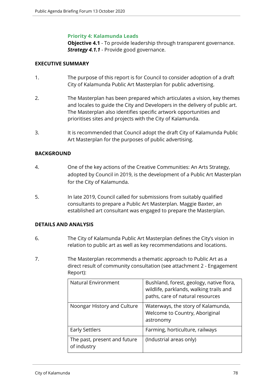### **Priority 4: Kalamunda Leads**

**Objective 4.1** - To provide leadership through transparent governance. *Strategy 4.1.1* - Provide good governance.

## **EXECUTIVE SUMMARY**

- 1. The purpose of this report is for Council to consider adoption of a draft City of Kalamunda Public Art Masterplan for public advertising.
- 2. The Masterplan has been prepared which articulates a vision, key themes and locales to guide the City and Developers in the delivery of public art. The Masterplan also identifies specific artwork opportunities and prioritises sites and projects with the City of Kalamunda.
- 3. It is recommended that Council adopt the draft City of Kalamunda Public Art Masterplan for the purposes of public advertising.

## **BACKGROUND**

- 4. One of the key actions of the Creative Communities: An Arts Strategy, adopted by Council in 2019, is the development of a Public Art Masterplan for the City of Kalamunda.
- 5. In late 2019, Council called for submissions from suitably qualified consultants to prepare a Public Art Masterplan. Maggie Baxter, an established art consultant was engaged to prepare the Masterplan.

## **DETAILS AND ANALYSIS**

- 6. The City of Kalamunda Public Art Masterplan defines the City's vision in relation to public art as well as key recommendations and locations.
- 7. The Masterplan recommends a thematic approach to Public Art as a direct result of community consultation (see attachment 2 - Engagement Report):

| Natural Environment                         | Bushland, forest, geology, native flora,<br>wildlife, parklands, walking trails and<br>paths, care of natural resources |
|---------------------------------------------|-------------------------------------------------------------------------------------------------------------------------|
| Noongar History and Culture                 | Waterways, the story of Kalamunda,<br>Welcome to Country, Aboriginal<br>astronomy                                       |
| <b>Early Settlers</b>                       | Farming, horticulture, railways                                                                                         |
| The past, present and future<br>of industry | (Industrial areas only)                                                                                                 |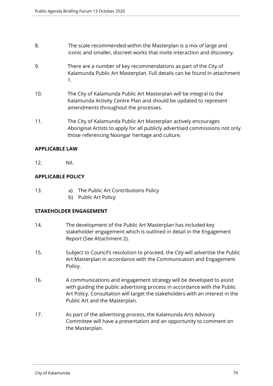- 8. The scale recommended within the Masterplan is a mix of large and iconic and smaller, discreet works that invite interaction and discovery.
- 9. There are a number of key recommendations as part of the City of Kalamunda Public Art Masterplan. Full details can be found in attachment 1.
- 10. The City of Kalamunda Public Art Masterplan will be integral to the Kalamunda Activity Centre Plan and should be updated to represent amendments throughout the processes.
- 11. The City of Kalamunda Public Art Masterplan actively encourages Aboriginal Artists to apply for all publicly advertised commissions not only those referencing Noongar heritage and culture.

## **APPLICABLE LAW**

12. Nil.

## **APPLICABLE POLICY**

- 13. a) The Public Art Contributions Policy
	- b) Public Art Policy

## **STAKEHOLDER ENGAGEMENT**

- 14. The development of the Public Art Masterplan has included key stakeholder engagement which is outlined in detail in the Engagement Report (See Attachment 2).
- 15. Subject to Council's resolution to proceed, the City will advertise the Public Art Masterplan in accordance with the Communication and Engagement Policy.
- 16. A communications and engagement strategy will be developed to assist with guiding the public advertising process in accordance with the Public Art Policy. Consultation will target the stakeholders with an interest in the Public Art and the Masterplan.
- 17. As part of the advertising process, the Kalamunda Arts Advisory Committee will have a presentation and an opportunity to comment on the Masterplan.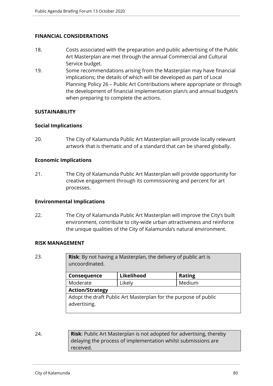## **FINANCIAL CONSIDERATIONS**

- 18. Costs associated with the preparation and public advertising of the Public Art Masterplan are met through the annual Commercial and Cultural Service budget.
- 19. Some recommendations arising from the Masterplan may have financial implications; the details of which will be developed as part of Local Planning Policy 26 – Public Art Contributions where appropriate or through the development of financial implementation plan/s and annual budget/s when preparing to complete the actions.

#### **SUSTAINABILITY**

#### **Social Implications**

20. The City of Kalamunda Public Art Masterplan will provide locally relevant artwork that is thematic and of a standard that can be shared globally.

### **Economic Implications**

21. The City of Kalamunda Public Art Masterplan will provide opportunity for creative engagement through its commissioning and percent for art processes.

#### **Environmental Implications**

22. The City of Kalamunda Public Art Masterplan will improve the City's built environment, contribute to city-wide urban attractiveness and reinforce the unique qualities of the City of Kalamunda's natural environment.

#### **RISK MANAGEMENT**

| 23. | <b>Risk:</b> By not having a Masterplan, the delivery of public art is<br>uncoordinated. |            |               |  |  |
|-----|------------------------------------------------------------------------------------------|------------|---------------|--|--|
|     | Consequence                                                                              | Likelihood | <b>Rating</b> |  |  |
|     | Moderate                                                                                 | Likely     | Medium        |  |  |
|     | <b>Action/Strategy</b>                                                                   |            |               |  |  |
|     | Adopt the draft Public Art Masterplan for the purpose of public<br>advertising.          |            |               |  |  |

24. **Risk**: Public Art Masterplan is not adopted for advertising, thereby delaying the process of implementation whilst submissions are received.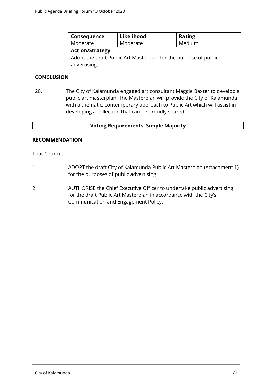| Consequence                                                                     | Likelihood | <b>Rating</b> |  |
|---------------------------------------------------------------------------------|------------|---------------|--|
| Moderate                                                                        | Moderate   | Medium        |  |
| <b>Action/Strategy</b>                                                          |            |               |  |
| Adopt the draft Public Art Masterplan for the purpose of public<br>advertising. |            |               |  |

## **CONCLUSION**

20. The City of Kalamunda engaged art consultant Maggie Baxter to develop a public art masterplan. The Masterplan will provide the City of Kalamunda with a thematic, contemporary approach to Public Art which will assist in developing a collection that can be proudly shared.

#### **Voting Requirements: Simple Majority**

#### **RECOMMENDATION**

That Council:

- 1. ADOPT the draft City of Kalamunda Public Art Masterplan (Attachment 1) for the purposes of public advertising.
- 2. AUTHORISE the Chief Executive Officer to undertake public advertising for the draft Public Art Masterplan in accordance with the City's Communication and Engagement Policy.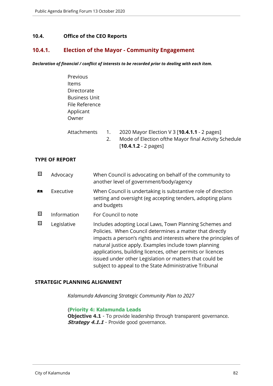## **10.4. Office of the CEO Reports**

## **10.4.1. Election of the Mayor - Community Engagement**

*Declaration of financial / conflict of interests to be recorded prior to dealing with each item.*

| Previous             |   |                                                                                                                                                                                                                                                                                                                                                                                                                                                                                      |  |
|----------------------|---|--------------------------------------------------------------------------------------------------------------------------------------------------------------------------------------------------------------------------------------------------------------------------------------------------------------------------------------------------------------------------------------------------------------------------------------------------------------------------------------|--|
| Items                |   |                                                                                                                                                                                                                                                                                                                                                                                                                                                                                      |  |
| Directorate          |   |                                                                                                                                                                                                                                                                                                                                                                                                                                                                                      |  |
| <b>Business Unit</b> |   |                                                                                                                                                                                                                                                                                                                                                                                                                                                                                      |  |
| File Reference       |   |                                                                                                                                                                                                                                                                                                                                                                                                                                                                                      |  |
| Applicant            |   |                                                                                                                                                                                                                                                                                                                                                                                                                                                                                      |  |
| Owner                |   |                                                                                                                                                                                                                                                                                                                                                                                                                                                                                      |  |
|                      |   |                                                                                                                                                                                                                                                                                                                                                                                                                                                                                      |  |
| $A++$                | 1 | $2020 \text{ M} \cdot \text{S} \cdot \text{S} \cdot \text{E} \cdot \text{E} \cdot \text{E} \cdot \text{E} \cdot \text{E} \cdot \text{E} \cdot \text{E} \cdot \text{E} \cdot \text{E} \cdot \text{E} \cdot \text{E} \cdot \text{E} \cdot \text{E} \cdot \text{E} \cdot \text{E} \cdot \text{E} \cdot \text{E} \cdot \text{E} \cdot \text{E} \cdot \text{E} \cdot \text{E} \cdot \text{E} \cdot \text{E} \cdot \text{E} \cdot \text{E} \cdot \text{E} \cdot \text{E} \cdot \text{E} \$ |  |

|  | Attachments 1. 2020 Mayor Election V 3   <b>10.4.1.1</b> - 2 pages |
|--|--------------------------------------------------------------------|
|  | Mode of Election of the Mayor final Activity Schedule              |
|  | $[10.4.1.2 - 2 \text{ pages}]$                                     |

#### **TYPE OF REPORT**

| 図 | Advocacy    | When Council is advocating on behalf of the community to<br>another level of government/body/agency                                                                                                                                                                                                                                                                                                                                |
|---|-------------|------------------------------------------------------------------------------------------------------------------------------------------------------------------------------------------------------------------------------------------------------------------------------------------------------------------------------------------------------------------------------------------------------------------------------------|
|   | Executive   | When Council is undertaking is substantive role of direction<br>setting and oversight (eg accepting tenders, adopting plans<br>and budgets                                                                                                                                                                                                                                                                                         |
| 図 | Information | For Council to note                                                                                                                                                                                                                                                                                                                                                                                                                |
| ⊠ | Legislative | Includes adopting Local Laws, Town Planning Schemes and<br>Policies. When Council determines a matter that directly<br>impacts a person's rights and interests where the principles of<br>natural justice apply. Examples include town planning<br>applications, building licences, other permits or licences<br>issued under other Legislation or matters that could be<br>subject to appeal to the State Administrative Tribunal |

#### **STRATEGIC PLANNING ALIGNMENT**

*Kalamunda Advancing Strategic Community Plan to 2027*

#### {**Priority 4: Kalamunda Leads**

**Objective 4.1** - To provide leadership through transparent governance. **Strategy 4.1.1** - Provide good governance.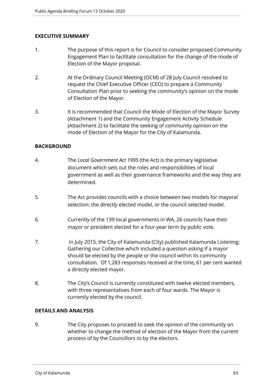## **EXECUTIVE SUMMARY**

- 1. The purpose of this report is for Council to consider proposed Community Engagement Plan to facilitate consultation for the change of the mode of Election of the Mayor proposal.
- 2. At the Ordinary Council Meeting (OCM) of 28 July Council resolved to request the Chief Executive Officer (CEO) to prepare a Community Consultation Plan prior to seeking the community's opinion on the mode of Election of the Mayor.
- 3. It is recommended that Council the Mode of Election of the Mayor Survey (Attachment 1) and the Community Engagement Activity Schedule (Attachment 2) to facilitate the seeking of community opinion on the mode of Election of the Mayor for the City of Kalamunda.

## **BACKGROUND**

- 4. The *Local Government Act 1995* (the Act) is the primary legislative document which sets out the roles and responsibilities of local government as well as their governance frameworks and the way they are determined.
- 5. The Act provides councils with a choice between two models for mayoral selection: the directly elected model, or the council selected model.
- 6. Currently of the 139 local governments in WA, 26 councils have their mayor or president elected for a four-year term by public vote.
- 7. In July 2015, the City of Kalamunda (City) published Kalamunda Listening: Gathering our Collective which included a question asking if a mayor should be elected by the people or the council within its community consultation. Of 1,283 responses received at the time, 61 per cent wanted a directly elected mayor.
- 8. The City's Council is currently constituted with twelve elected members, with three representatives from each of four wards. The Mayor is currently elected by the council.

## **DETAILS AND ANALYSIS**

9. The City proposes to proceed to seek the opinion of the community on whether to change the method of election of the Mayor from the current process of by the Councillors to by the electors.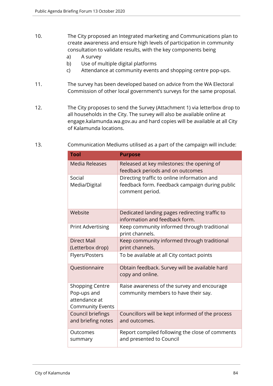- 10. The City proposed an Integrated marketing and Communications plan to create awareness and ensure high levels of participation in community consultation to validate results, with the key components being
	- a) A survey
	- b) Use of multiple digital platforms
	- c) Attendance at community events and shopping centre pop-ups.
- 11. The survey has been developed based on advice from the WA Electoral Commission of other local government's surveys for the same proposal.
- 12. The City proposes to send the Survey (Attachment 1) via letterbox drop to all households in the City. The survey will also be available online at engage.kalamunda.wa.gov.au and hard copies will be available at all City of Kalamunda locations.
- 13. Communication Mediums utilised as a part of the campaign will include:

| <b>Tool</b>                                                                       | <b>Purpose</b>                                                                                                   |
|-----------------------------------------------------------------------------------|------------------------------------------------------------------------------------------------------------------|
| <b>Media Releases</b>                                                             | Released at key milestones: the opening of<br>feedback periods and on outcomes                                   |
| Social<br>Media/Digital                                                           | Directing traffic to online information and<br>feedback form. Feedback campaign during public<br>comment period. |
| Website                                                                           | Dedicated landing pages redirecting traffic to<br>information and feedback form.                                 |
| <b>Print Advertising</b>                                                          | Keep community informed through traditional<br>print channels.                                                   |
| <b>Direct Mail</b><br>(Letterbox drop)                                            | Keep community informed through traditional<br>print channels.                                                   |
| <b>Flyers/Posters</b>                                                             | To be available at all City contact points                                                                       |
| Questionnaire                                                                     | Obtain feedback. Survey will be available hard<br>copy and online.                                               |
| <b>Shopping Centre</b><br>Pop-ups and<br>attendance at<br><b>Community Events</b> | Raise awareness of the survey and encourage<br>community members to have their say.                              |
| Council briefings<br>and briefing notes                                           | Councillors will be kept informed of the process<br>and outcomes.                                                |
| Outcomes<br>summary                                                               | Report compiled following the close of comments<br>and presented to Council                                      |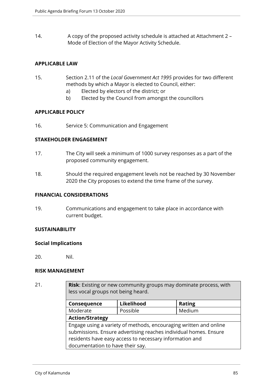14. A copy of the proposed activity schedule is attached at Attachment 2 – Mode of Election of the Mayor Activity Schedule.

## **APPLICABLE LAW**

- 15. Section 2.11 of the *Local Government Act 1995* provides for two different methods by which a Mayor is elected to Council, either:
	- a) Elected by electors of the district; or
	- b) Elected by the Council from amongst the councillors

## **APPLICABLE POLICY**

16. Service 5: Communication and Engagement

## **STAKEHOLDER ENGAGEMENT**

- 17. The City will seek a minimum of 1000 survey responses as a part of the proposed community engagement.
- 18. Should the required engagement levels not be reached by 30 November 2020 the City proposes to extend the time frame of the survey.

#### **FINANCIAL CONSIDERATIONS**

19. Communications and engagement to take place in accordance with current budget.

## **SUSTAINABILITY**

#### **Social Implications**

20. Nil.

## **RISK MANAGEMENT**

21. **Risk**: Existing or new community groups may dominate process, with less vocal groups not being heard.

| Consequence                                                       | Likelihood | <b>Rating</b> |  |
|-------------------------------------------------------------------|------------|---------------|--|
|                                                                   |            |               |  |
| Moderate                                                          | Possible   | Medium        |  |
| <b>Action/Strategy</b>                                            |            |               |  |
| Engage using a variety of methods, encouraging written and online |            |               |  |
| submissions. Ensure advertising reaches individual homes. Ensure  |            |               |  |
| residents have easy access to necessary information and           |            |               |  |
| documentation to have their say.                                  |            |               |  |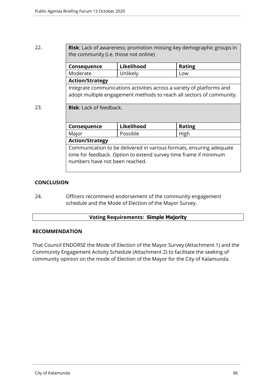| 22. | <b>Risk:</b> Lack of awareness; promotion missing key demographic groups in<br>the community (i.e. those not online)                                                      |            |               |
|-----|---------------------------------------------------------------------------------------------------------------------------------------------------------------------------|------------|---------------|
|     | <b>Consequence</b>                                                                                                                                                        | Likelihood | <b>Rating</b> |
|     | Moderate                                                                                                                                                                  | Unlikely   | Low           |
|     | <b>Action/Strategy</b>                                                                                                                                                    |            |               |
|     | Integrate communications activities across a variety of platforms and<br>adopt multiple engagement methods to reach all sectors of community.                             |            |               |
| 23. | <b>Risk:</b> Lack of feedback.                                                                                                                                            |            |               |
|     | <b>Consequence</b>                                                                                                                                                        | Likelihood | <b>Rating</b> |
|     | Major                                                                                                                                                                     | Possible   | High          |
|     | <b>Action/Strategy</b>                                                                                                                                                    |            |               |
|     | Communication to be delivered in various formats, ensuring adequate<br>time for feedback. Option to extend survey time frame if minimum<br>numbers have not been reached. |            |               |

## **CONCLUSION**

24. Officers recommend endorsement of the community engagement schedule and the Mode of Election of the Mayor Survey.

## **Voting Requirements: Simple Majority**

## **RECOMMENDATION**

That Council ENDORSE the Mode of Election of the Mayor Survey (Attachment 1) and the Community Engagement Activity Schedule (Attachment 2) to facilitate the seeking of community opinion on the mode of Election of the Mayor for the City of Kalamunda.